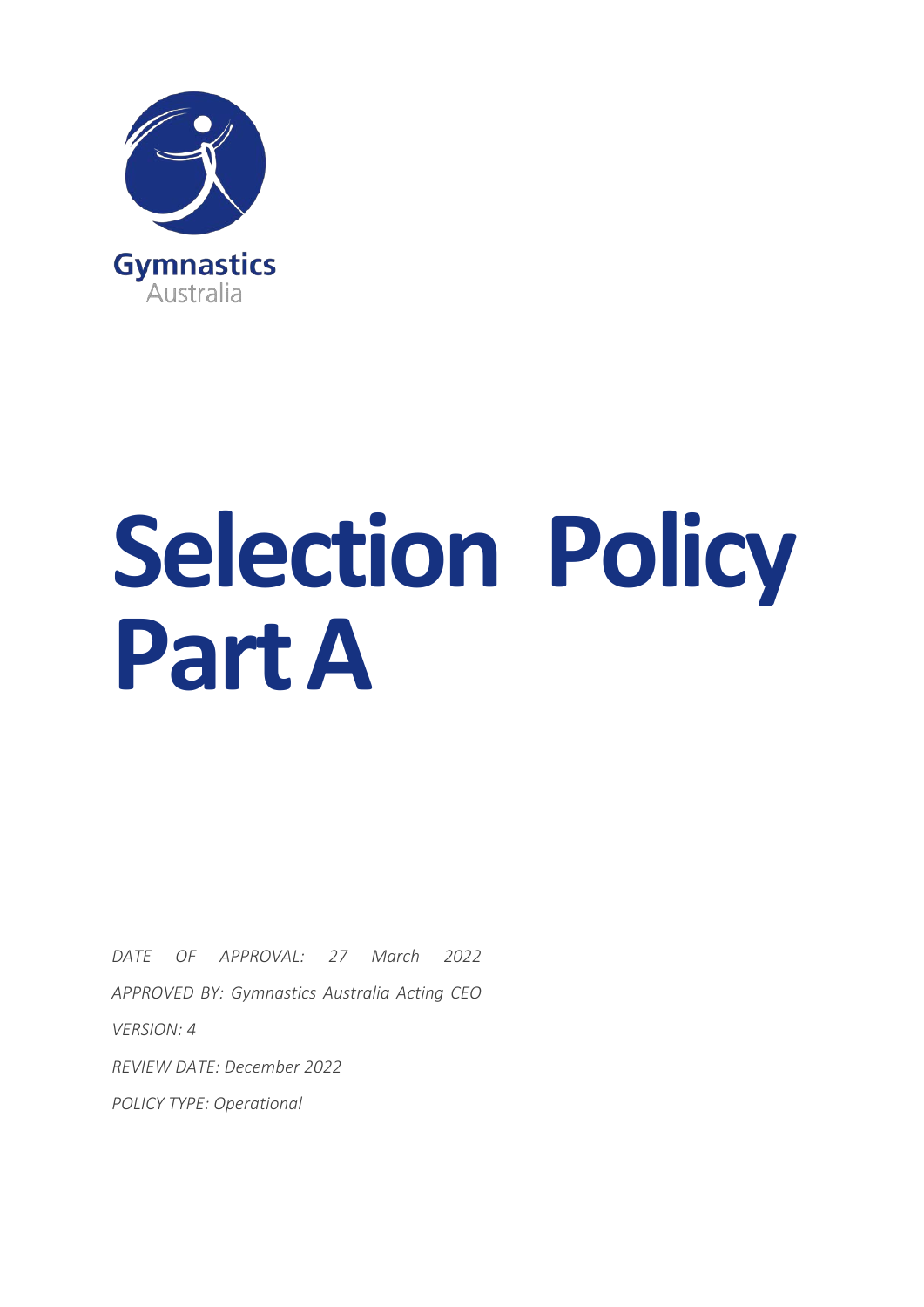

# **Selection Policy PartA**

*DATE OF APPROVAL: 27 March 2022 APPROVED BY: Gymnastics Australia Acting CEO VERSION: 4 REVIEW DATE: December 2022 POLICY TYPE: Operational*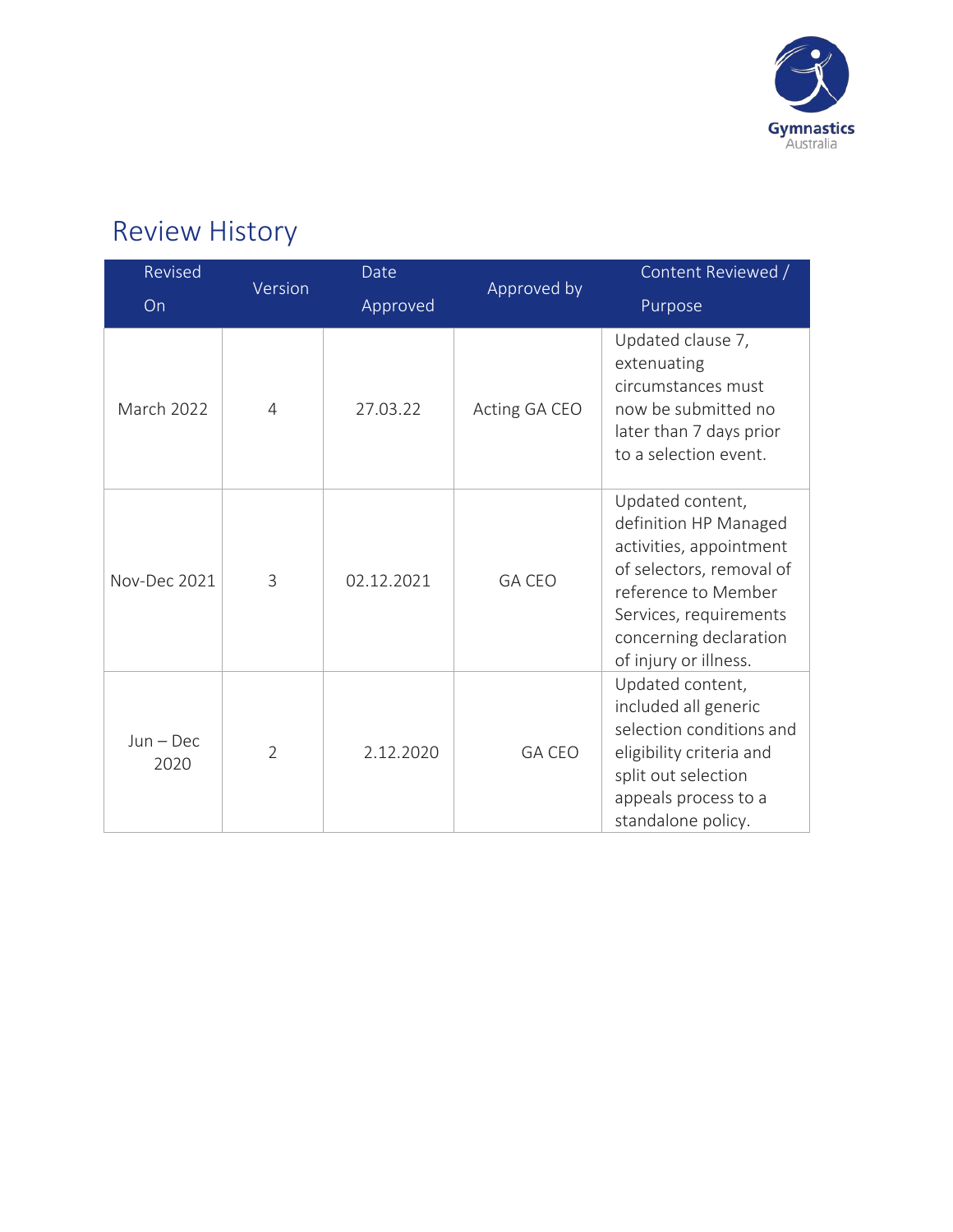

# Review History

| Revised<br>On       | Version        | Date<br>Approved | Approved by   | Content Reviewed /<br>Purpose                                                                                                                                                                        |
|---------------------|----------------|------------------|---------------|------------------------------------------------------------------------------------------------------------------------------------------------------------------------------------------------------|
| <b>March 2022</b>   | 4              | 27.03.22         | Acting GA CEO | Updated clause 7,<br>extenuating<br>circumstances must<br>now be submitted no<br>later than 7 days prior<br>to a selection event.                                                                    |
| Nov-Dec 2021        | 3              | 02.12.2021       | <b>GA CEO</b> | Updated content,<br>definition HP Managed<br>activities, appointment<br>of selectors, removal of<br>reference to Member<br>Services, requirements<br>concerning declaration<br>of injury or illness. |
| $Jun - Dec$<br>2020 | $\overline{2}$ | 2.12.2020        | <b>GA CEO</b> | Updated content,<br>included all generic<br>selection conditions and<br>eligibility criteria and<br>split out selection<br>appeals process to a<br>standalone policy.                                |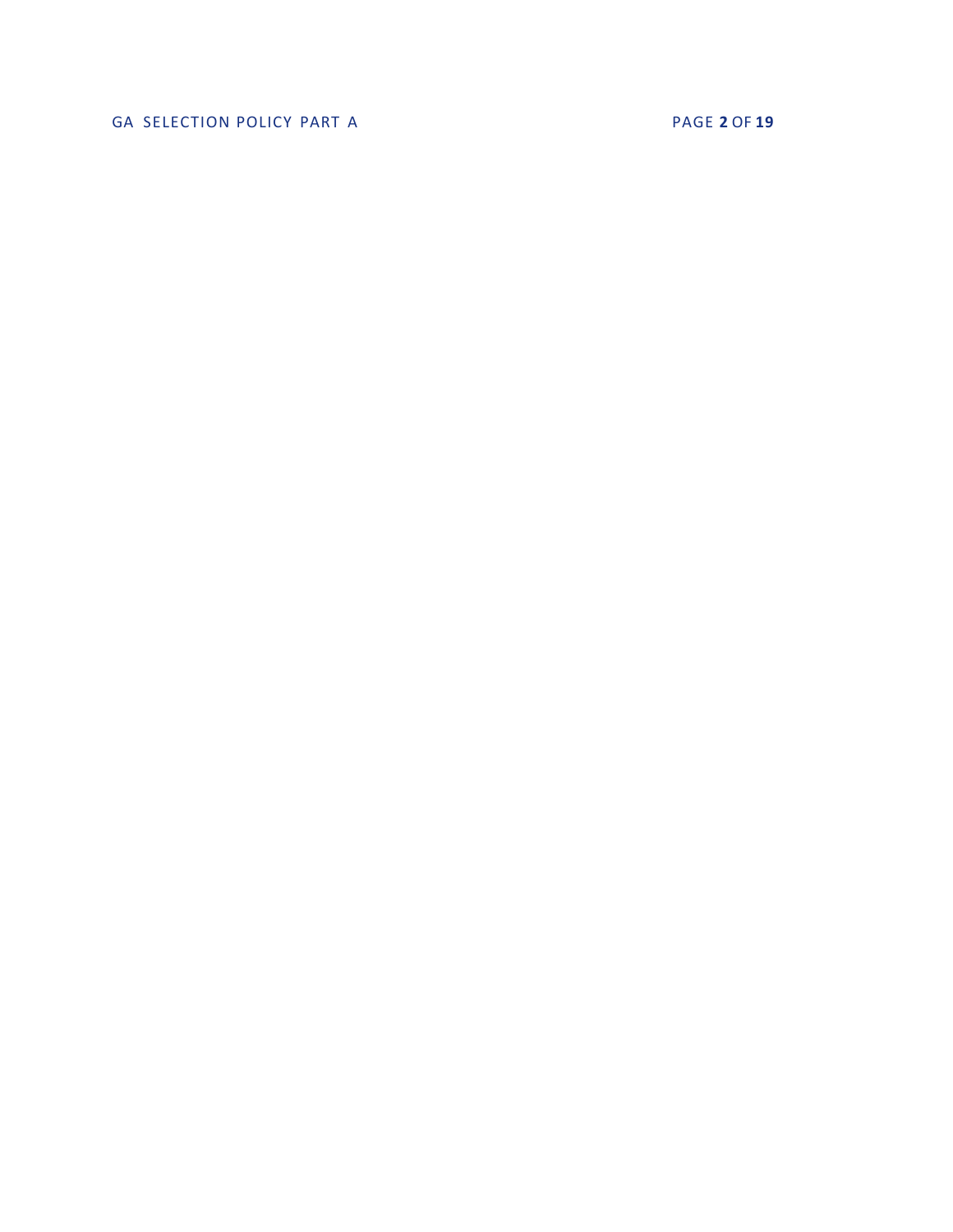GA SELECTION POLICY PART A PAGE 2 OF 19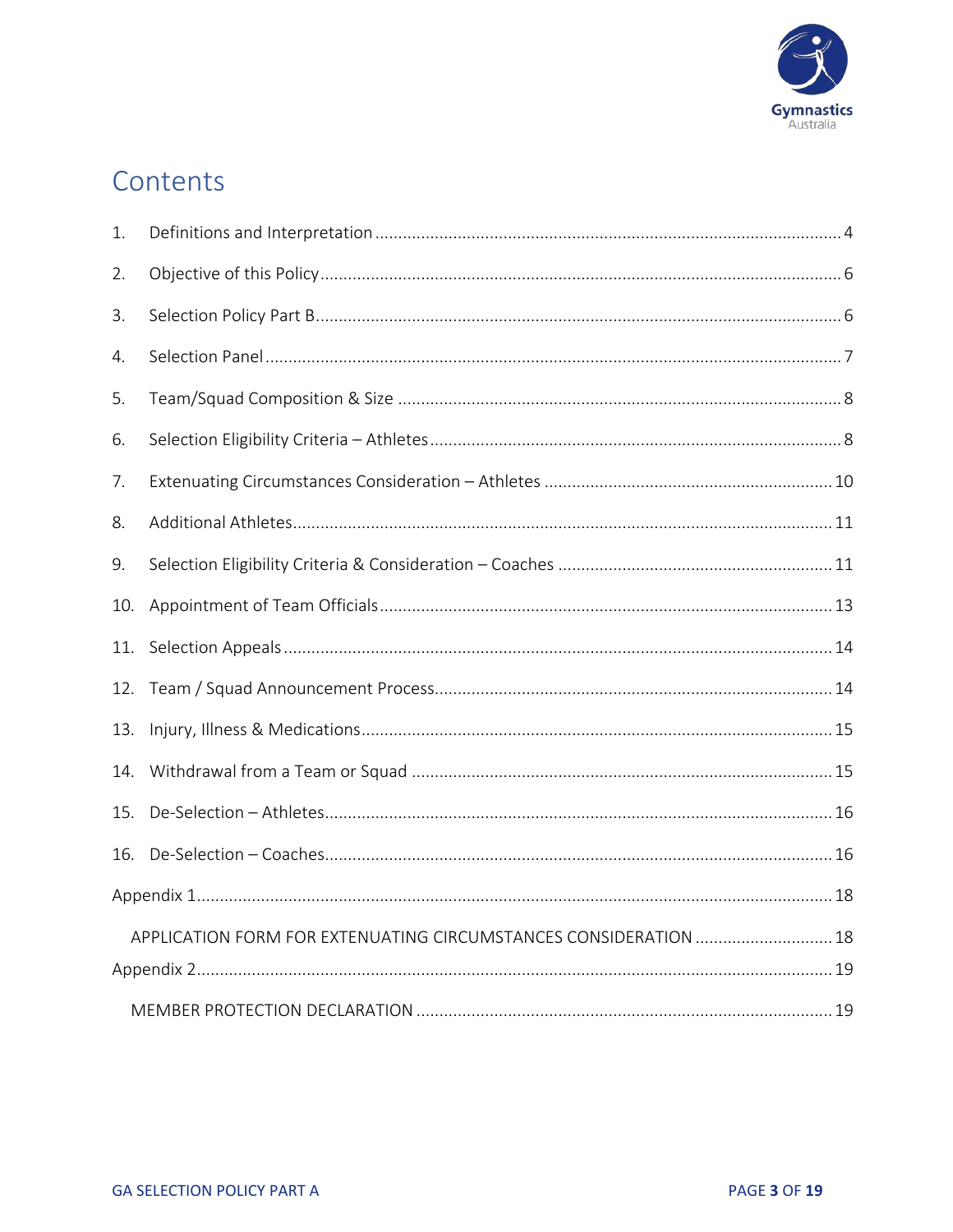

## Contents

| 1.  |                                                                  |  |
|-----|------------------------------------------------------------------|--|
| 2.  |                                                                  |  |
| 3.  |                                                                  |  |
| 4.  |                                                                  |  |
| 5.  |                                                                  |  |
| 6.  |                                                                  |  |
| 7.  |                                                                  |  |
| 8.  |                                                                  |  |
| 9.  |                                                                  |  |
| 10. |                                                                  |  |
| 11. |                                                                  |  |
| 12. |                                                                  |  |
| 13. |                                                                  |  |
| 14. |                                                                  |  |
| 15. |                                                                  |  |
| 16. |                                                                  |  |
|     |                                                                  |  |
|     | APPLICATION FORM FOR EXTENUATING CIRCUMSTANCES CONSIDERATION  18 |  |
|     |                                                                  |  |
|     |                                                                  |  |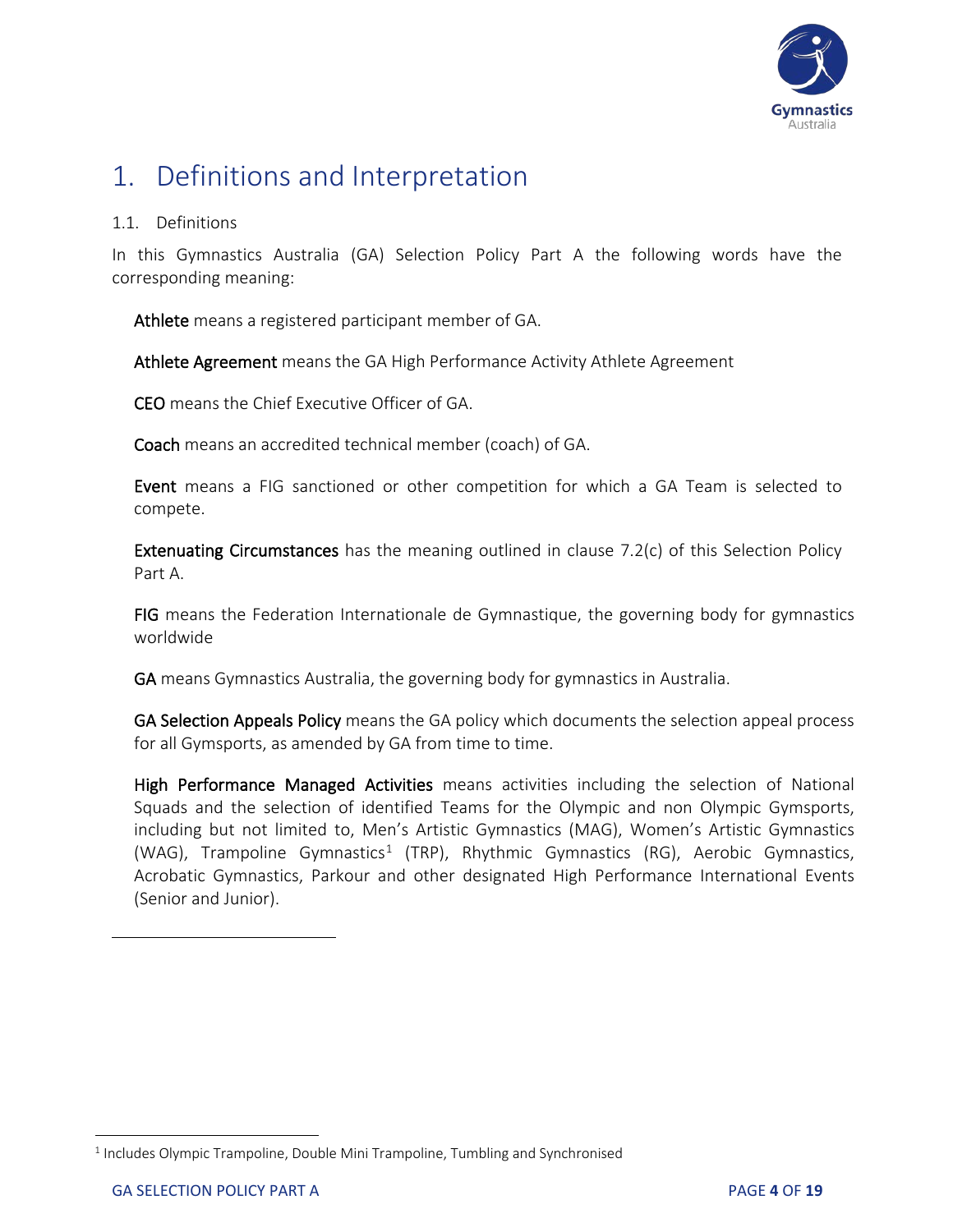

# <span id="page-4-0"></span>1. Definitions and Interpretation

#### 1.1. Definitions

In this Gymnastics Australia (GA) Selection Policy Part A the following words have the corresponding meaning:

Athlete means a registered participant member of GA.

Athlete Agreement means the GA High Performance Activity Athlete Agreement

CEO means the Chief Executive Officer of GA.

Coach means an accredited technical member (coach) of GA.

Event means a FIG sanctioned or other competition for which a GA Team is selected to compete.

Extenuating Circumstances has the meaning outlined in clause [7.2](#page-10-1)[\(c\)](#page-10-2) of this Selection Policy Part A.

FIG means the Federation Internationale de Gymnastique, the governing body for gymnastics worldwide

GA means Gymnastics Australia, the governing body for gymnastics in Australia.

GA Selection Appeals Policy means the GA policy which documents the selection appeal process for all Gymsports, as amended by GA from time to time.

High Performance Managed Activities means activities including the selection of National Squads and the selection of identified Teams for the Olympic and non Olympic Gymsports, including but not limited to, Men's Artistic Gymnastics (MAG), Women's Artistic Gymnastics (WAG), Trampoline Gymnastics<sup>[1](#page-4-1)</sup> (TRP), Rhythmic Gymnastics (RG), Aerobic Gymnastics, Acrobatic Gymnastics, Parkour and other designated High Performance International Events (Senior and Junior).

<span id="page-4-1"></span><sup>&</sup>lt;sup>1</sup> Includes Olympic Trampoline, Double Mini Trampoline, Tumbling and Synchronised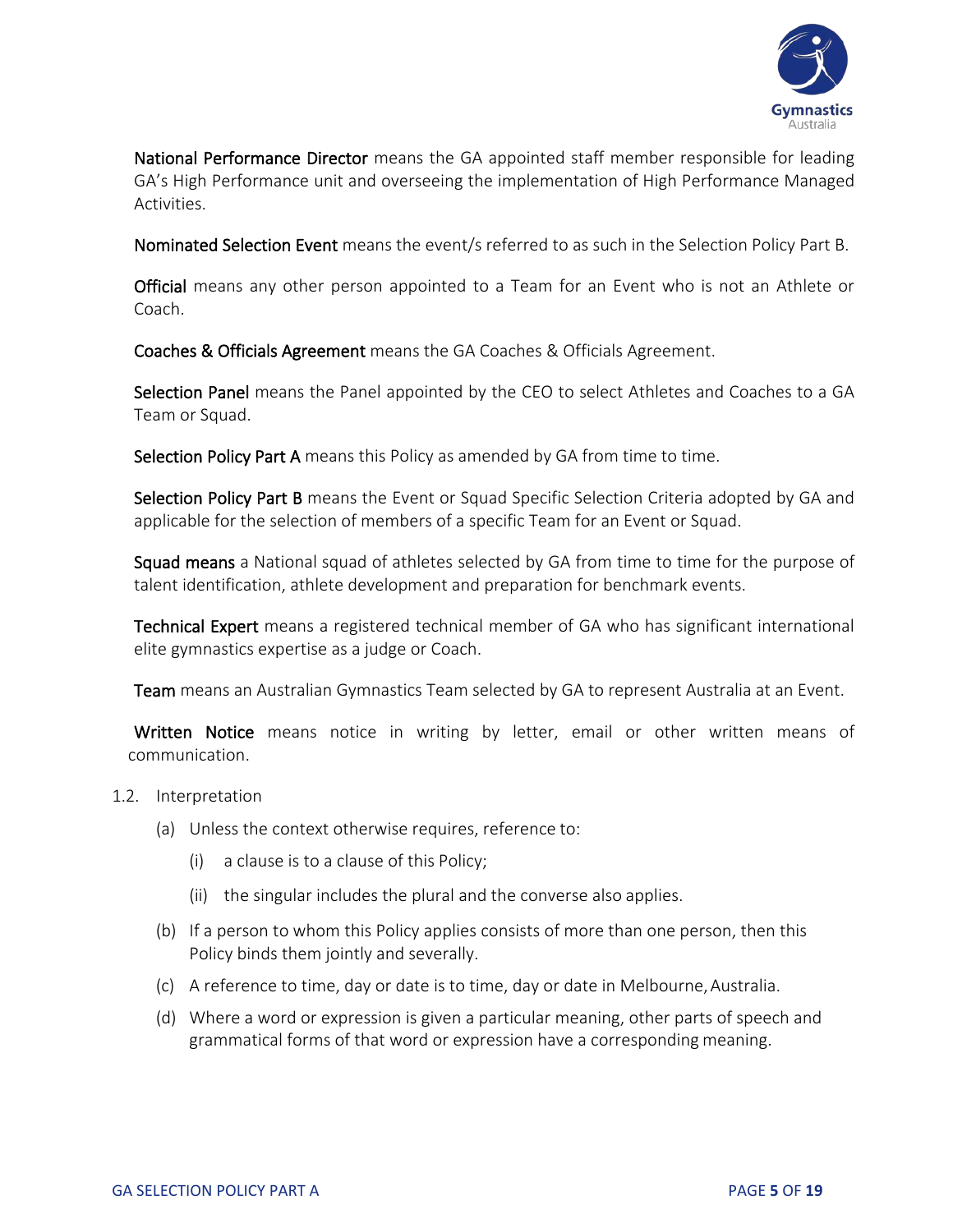

National Performance Director means the GA appointed staff member responsible for leading GA's High Performance unit and overseeing the implementation of High Performance Managed Activities.

Nominated Selection Event means the event/s referred to as such in the Selection Policy Part B.

Official means any other person appointed to a Team for an Event who is not an Athlete or Coach.

Coaches & Officials Agreement means the GA Coaches & Officials Agreement.

Selection Panel means the Panel appointed by the CEO to select Athletes and Coaches to a GA Team or Squad.

Selection Policy Part A means this Policy as amended by GA from time to time.

Selection Policy Part B means the Event or Squad Specific Selection Criteria adopted by GA and applicable for the selection of members of a specific Team for an Event or Squad.

Squad means a National squad of athletes selected by GA from time to time for the purpose of talent identification, athlete development and preparation for benchmark events.

Technical Expert means a registered technical member of GA who has significant international elite gymnastics expertise as a judge or Coach.

Team means an Australian Gymnastics Team selected by GA to represent Australia at an Event.

Written Notice means notice in writing by letter, email or other written means of communication.

#### 1.2. Interpretation

- (a) Unless the context otherwise requires, reference to:
	- (i) a clause is to a clause of this Policy;
	- (ii) the singular includes the plural and the converse also applies.
- (b) If a person to whom this Policy applies consists of more than one person, then this Policy binds them jointly and severally.
- (c) A reference to time, day or date is to time, day or date in Melbourne,Australia.
- (d) Where a word or expression is given a particular meaning, other parts of speech and grammatical forms of that word or expression have a corresponding meaning.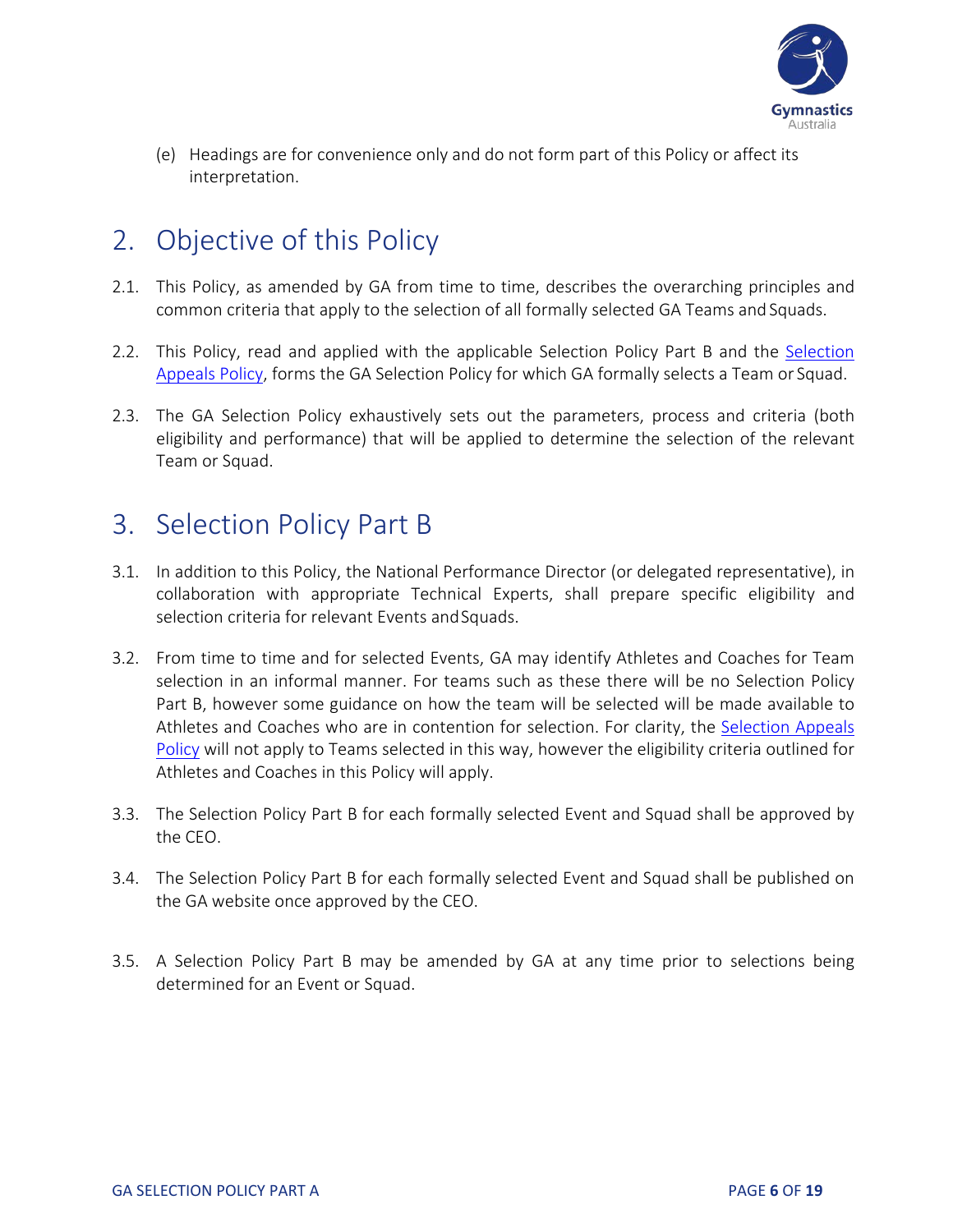

(e) Headings are for convenience only and do not form part of this Policy or affect its interpretation.

# <span id="page-6-0"></span>2. Objective of this Policy

- 2.1. This Policy, as amended by GA from time to time, describes the overarching principles and common criteria that apply to the selection of all formally selected GA Teams and Squads.
- 2.2. This Policy, read and applied with the applicable [Selection](https://www.gymnastics.org.au/uploadedfiles/GA_Selection_Appeals_Policy.pdf) Policy Part B and the Selection [Appeals Policy, f](https://www.gymnastics.org.au/uploadedfiles/GA_Selection_Appeals_Policy.pdf)orms the GA Selection Policy for which GA formally selects a Team or Squad.
- 2.3. The GA Selection Policy exhaustively sets out the parameters, process and criteria (both eligibility and performance) that will be applied to determine the selection of the relevant Team or Squad.

## <span id="page-6-1"></span>3. Selection Policy Part B

- 3.1. In addition to this Policy, the National Performance Director (or delegated representative), in collaboration with appropriate Technical Experts, shall prepare specific eligibility and selection criteria for relevant Events and Squads.
- 3.2. From time to time and for selected Events, GA may identify Athletes and Coaches for Team selection in an informal manner. For teams such as these there will be no Selection Policy Part B, however some guidance on how the team will be selected will be made available to Athletes and Coaches who are in contention for selection. For clarity, the [Selection Appeals](https://www.gymnastics.org.au/uploadedfiles/GA_Selection_Appeals_Policy.pdf) [Policy](https://www.gymnastics.org.au/uploadedfiles/GA_Selection_Appeals_Policy.pdf) will not apply to Teams selected in this way, however the eligibility criteria outlined for Athletes and Coaches in this Policy will apply.
- 3.3. The Selection Policy Part B for each formally selected Event and Squad shall be approved by the CEO.
- 3.4. The Selection Policy Part B for each formally selected Event and Squad shall be published on the GA website once approved by the CEO.
- 3.5. A Selection Policy Part B may be amended by GA at any time prior to selections being determined for an Event or Squad.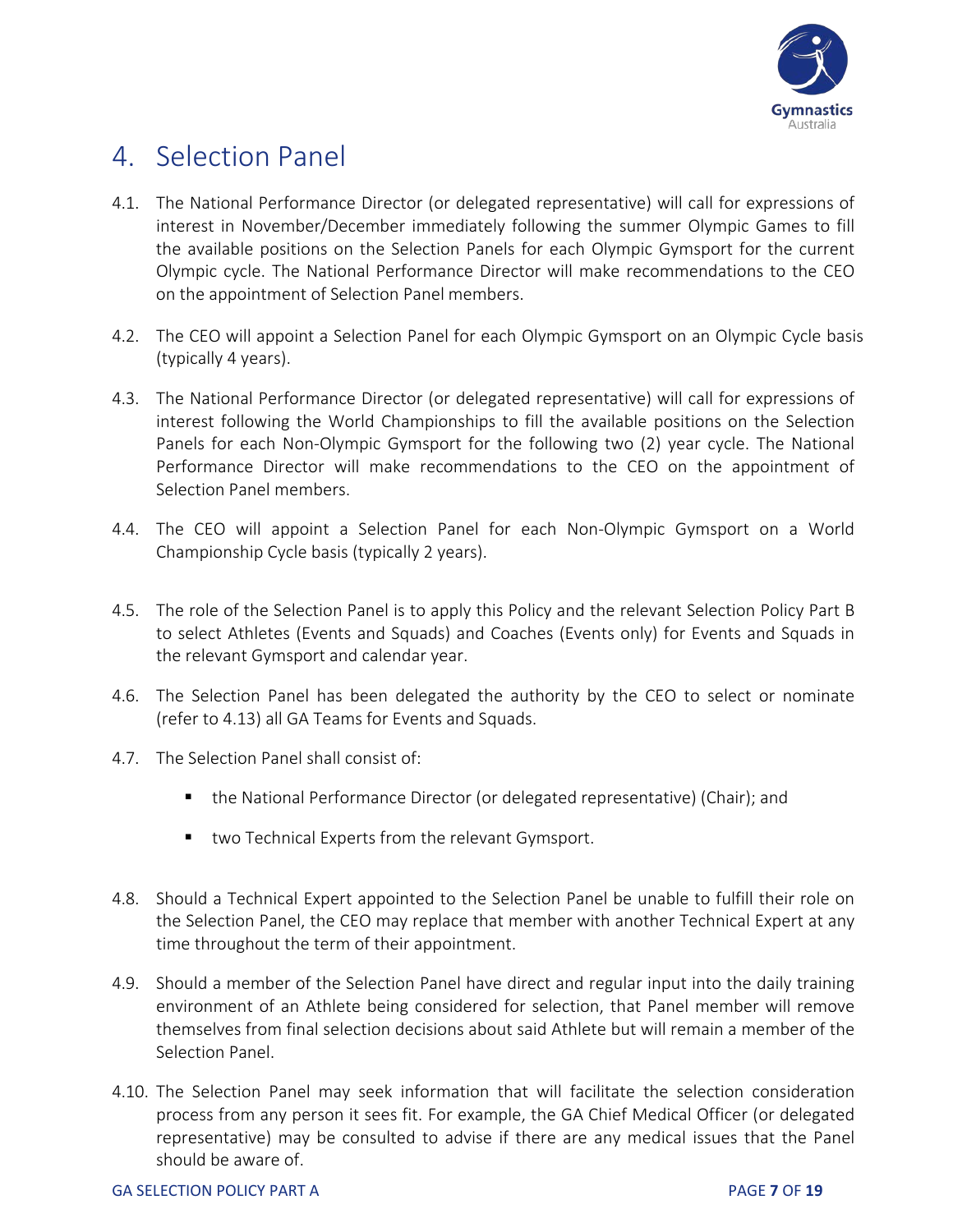

#### <span id="page-7-0"></span>4. Selection Panel

- 4.1. The National Performance Director (or delegated representative) will call for expressions of interest in November/December immediately following the summer Olympic Games to fill the available positions on the Selection Panels for each Olympic Gymsport for the current Olympic cycle. The National Performance Director will make recommendations to the CEO on the appointment of Selection Panel members.
- 4.2. The CEO will appoint a Selection Panel for each Olympic Gymsport on an Olympic Cycle basis (typically 4 years).
- 4.3. The National Performance Director (or delegated representative) will call for expressions of interest following the World Championships to fill the available positions on the Selection Panels for each Non-Olympic Gymsport for the following two (2) year cycle. The National Performance Director will make recommendations to the CEO on the appointment of Selection Panel members.
- 4.4. The CEO will appoint a Selection Panel for each Non-Olympic Gymsport on a World Championship Cycle basis (typically 2 years).
- 4.5. The role of the Selection Panel is to apply this Policy and the relevant Selection Policy Part B to select Athletes (Events and Squads) and Coaches (Events only) for Events and Squads in the relevant Gymsport and calendar year.
- 4.6. The Selection Panel has been delegated the authority by the CEO to select or nominate (refer to [4.13\)](#page-8-2) all GA Teams for Events and Squads.
- 4.7. The Selection Panel shall consist of:
	- the National Performance Director (or delegated representative) (Chair); and
	- **u** two Technical Experts from the relevant Gymsport.
- 4.8. Should a Technical Expert appointed to the Selection Panel be unable to fulfill their role on the Selection Panel, the CEO may replace that member with another Technical Expert at any time throughout the term of their appointment.
- 4.9. Should a member of the Selection Panel have direct and regular input into the daily training environment of an Athlete being considered for selection, that Panel member will remove themselves from final selection decisions about said Athlete but will remain a member of the Selection Panel.
- 4.10. The Selection Panel may seek information that will facilitate the selection consideration process from any person it sees fit. For example, the GA Chief Medical Officer (or delegated representative) may be consulted to advise if there are any medical issues that the Panel should be aware of.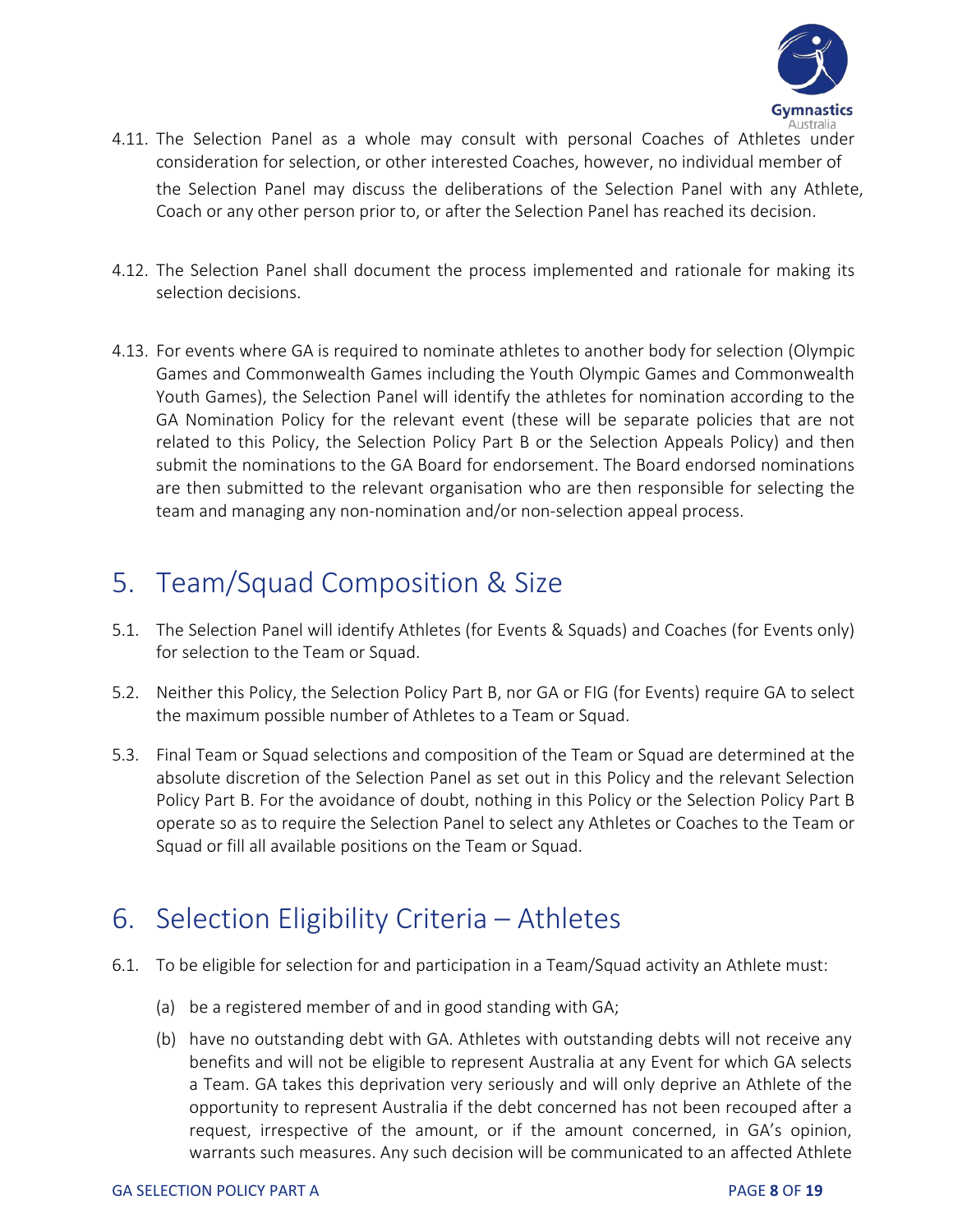

- 4.11. The Selection Panel as a whole may consult with personal Coaches of Athletes under consideration for selection, or other interested Coaches, however, no individual member of the Selection Panel may discuss the deliberations of the Selection Panel with any Athlete, Coach or any other person prior to, or after the Selection Panel has reached its decision.
- 4.12. The Selection Panel shall document the process implemented and rationale for making its selection decisions.
- <span id="page-8-2"></span>4.13. For events where GA is required to nominate athletes to another body for selection (Olympic Games and Commonwealth Games including the Youth Olympic Games and Commonwealth Youth Games), the Selection Panel will identify the athletes for nomination according to the GA Nomination Policy for the relevant event (these will be separate policies that are not related to this Policy, the Selection Policy Part B or the [Selection Appeals Policy\)](https://www.gymnastics.org.au/uploadedfiles/GA_Selection_Appeals_Policy.pdf) and then submit the nominations to the GA Board for endorsement. The Board endorsed nominations are then submitted to the relevant organisation who are then responsible for selecting the team and managing any non-nomination and/or non-selection appeal process.

# <span id="page-8-0"></span>5. Team/Squad Composition & Size

- 5.1. The Selection Panel will identify Athletes (for Events & Squads) and Coaches (for Events only) for selection to the Team or Squad.
- 5.2. Neither this Policy, the Selection Policy Part B, nor GA or FIG (for Events) require GA to select the maximum possible number of Athletes to a Team or Squad.
- 5.3. Final Team or Squad selections and composition of the Team or Squad are determined at the absolute discretion of the Selection Panel as set out in this Policy and the relevant Selection Policy Part B. For the avoidance of doubt, nothing in this Policy or the Selection Policy Part B operate so as to require the Selection Panel to select any Athletes or Coaches to the Team or Squad or fill all available positions on the Team or Squad.

## <span id="page-8-1"></span>6. Selection Eligibility Criteria – Athletes

- <span id="page-8-3"></span>6.1. To be eligible for selection for and participation in a Team/Squad activity an Athlete must:
	- (a) be a registered member of and in good standing with GA;
	- (b) have no outstanding debt with GA. Athletes with outstanding debts will not receive any benefits and will not be eligible to represent Australia at any Event for which GA selects a Team. GA takes this deprivation very seriously and will only deprive an Athlete of the opportunity to represent Australia if the debt concerned has not been recouped after a request, irrespective of the amount, or if the amount concerned, in GA's opinion, warrants such measures. Any such decision will be communicated to an affected Athlete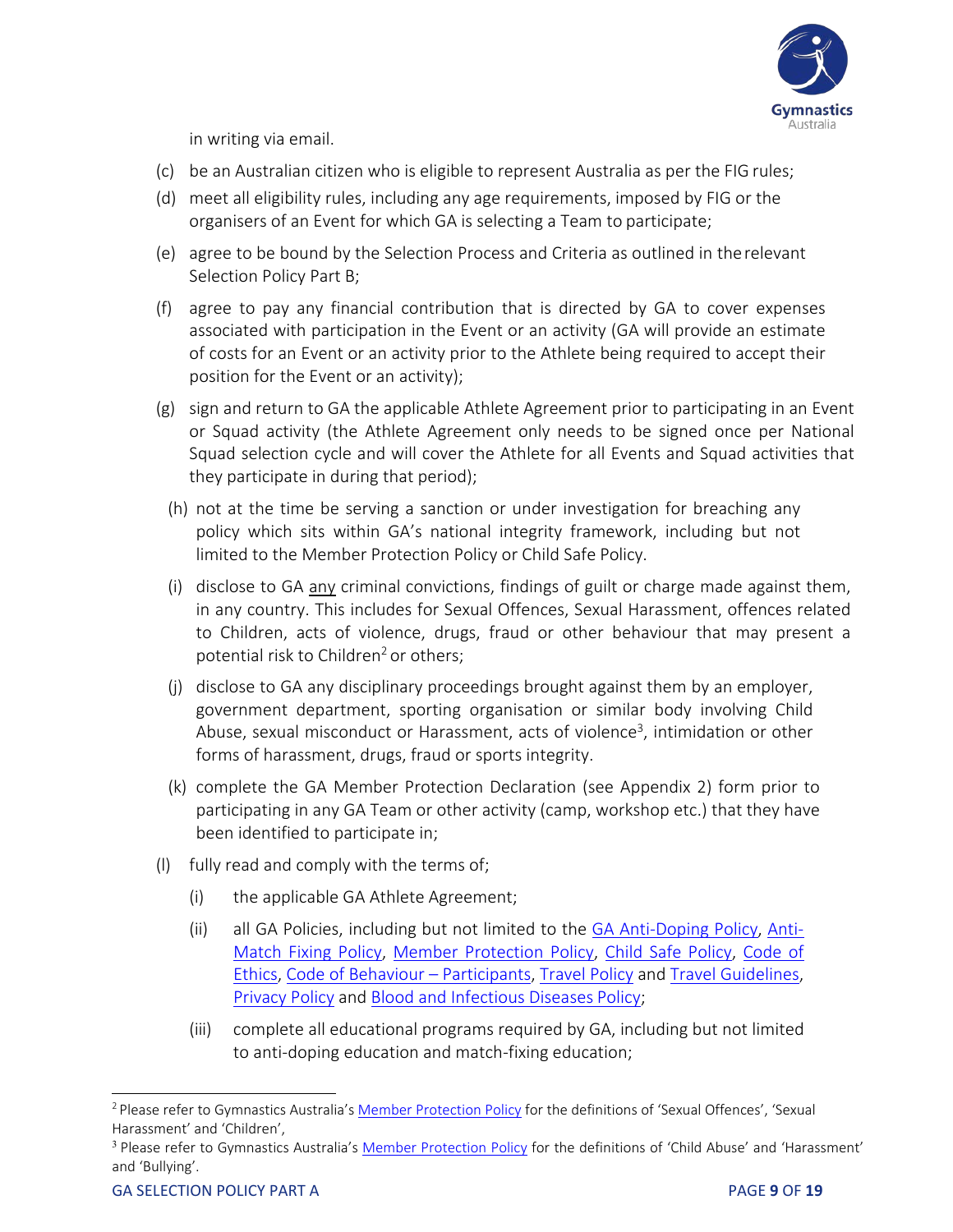

in writing via email.

- (c) be an Australian citizen who is eligible to represent Australia as per the FIG rules;
- (d) meet all eligibility rules, including any age requirements, imposed by FIG or the organisers of an Event for which GA is selecting a Team to participate;
- (e) agree to be bound by the Selection Process and Criteria as outlined in therelevant Selection Policy Part B;
- (f) agree to pay any financial contribution that is directed by GA to cover expenses associated with participation in the Event or an activity (GA will provide an estimate of costs for an Event or an activity prior to the Athlete being required to accept their position for the Event or an activity);
- (g) sign and return to GA the applicable Athlete Agreement prior to participating in an Event or Squad activity (the Athlete Agreement only needs to be signed once per National Squad selection cycle and will cover the Athlete for all Events and Squad activities that they participate in during that period);
	- (h) not at the time be serving a sanction or under investigation for breaching any policy which sits within GA's national integrity framework, including but not limited to the Member Protection Policy or Child Safe Policy.
	- (i) disclose to GA any criminal convictions, findings of guilt or charge made against them, in any country. This includes for Sexual Offences, Sexual Harassment, offences related to Children, acts of violence, drugs, fraud or other behaviour that may present a potential risk to Children<sup>2</sup> or others;
	- (j) disclose to GA any disciplinary proceedings brought against them by an employer, government department, sporting organisation or similar body involving Child Abuse, sexual misconduct or Harassment, acts of violence<sup>3</sup>, intimidation or other forms of harassment, drugs, fraud or sports integrity.
	- (k) complete the GA Member Protection Declaration (see Appendix 2) form prior to participating in any GA Team or other activity (camp, workshop etc.) that they have been identified to participate in;
- (l) fully read and comply with the terms of;
	- (i) the applicable GA Athlete Agreement;
	- (ii) all GA Policies, including but not limited to the [GA Anti-Doping Policy,](https://www.gymnastics.org.au/uploadedfiles/Anti_doping_policy.pdf) [Anti-](https://www.gymnastics.org.au/images/national/About_Us/By_laws_Policies_Tech_Regs/Anti-Match-fixing_policy.pdf)[Match Fixing Policy,](https://www.gymnastics.org.au/images/national/About_Us/By_laws_Policies_Tech_Regs/Anti-Match-fixing_policy.pdf) [Member Protection Policy,](https://www.gymnastics.org.au/images/national/About_Us/By_laws_Policies_Tech_Regs/Member_Protection_Policy.pdf) [Child Safe Policy,](https://www.gymnastics.org.au/images/national/About_Us/By_laws_Policies_Tech_Regs/Child_Safe_Policy.pdf) [Code of](https://www.gymnastics.org.au/images/national/About_Us/By_laws_Policies_Tech_Regs/Member_Protection_Policy_0219.pdf#page%3D27) [Ethics,](https://www.gymnastics.org.au/images/national/About_Us/By_laws_Policies_Tech_Regs/Member_Protection_Policy_0219.pdf#page%3D27) [Code of Behaviour –](https://www.gymnastics.org.au/images/national/About_Us/By_laws_Policies_Tech_Regs/Member_Protection_Policy_0219.pdf#page%3D33) Participants, [Travel Policy](https://www.gymnastics.org.au/uploadedfiles/travel_policy.pdf) and [Travel Guidelines](https://www.gymnastics.org.au/uploadedfiles/PR15_Travel_Guidelines.pdf)[,](https://www.gymnastics.org.au/images/national/About_Us/By_laws_Policies_Tech_Regs/Privacy_Policy.pdf) [Privacy Policy](https://www.gymnastics.org.au/images/national/About_Us/By_laws_Policies_Tech_Regs/Privacy_Policy.pdf) and [Blood and Infectious Diseases](https://www.gymnastics.org.au/uploadedfiles/OP05_Blood_and_Infectious_Diseases_Policy.pdf) Policy;
	- (iii) complete all educational programs required by GA, including but not limited to anti-doping education and match-fixing education;

<span id="page-9-0"></span><sup>&</sup>lt;sup>2</sup> Please refer to Gymnastics Australia's [Member Protection Policy](https://www.gymnastics.org.au/images/national/About_Us/By_laws_Policies_Tech_Regs/Member_Protection_Policy.pdf) for the definitions of 'Sexual Offences', 'Sexual Harassment' and 'Children',

<span id="page-9-1"></span><sup>&</sup>lt;sup>3</sup> Please refer to Gymnastics Australia's [Member Protection Policy](https://www.gymnastics.org.au/images/national/About_Us/By_laws_Policies_Tech_Regs/Member_Protection_Policy.pdf) for the definitions of 'Child Abuse' and 'Harassment' and 'Bullying'.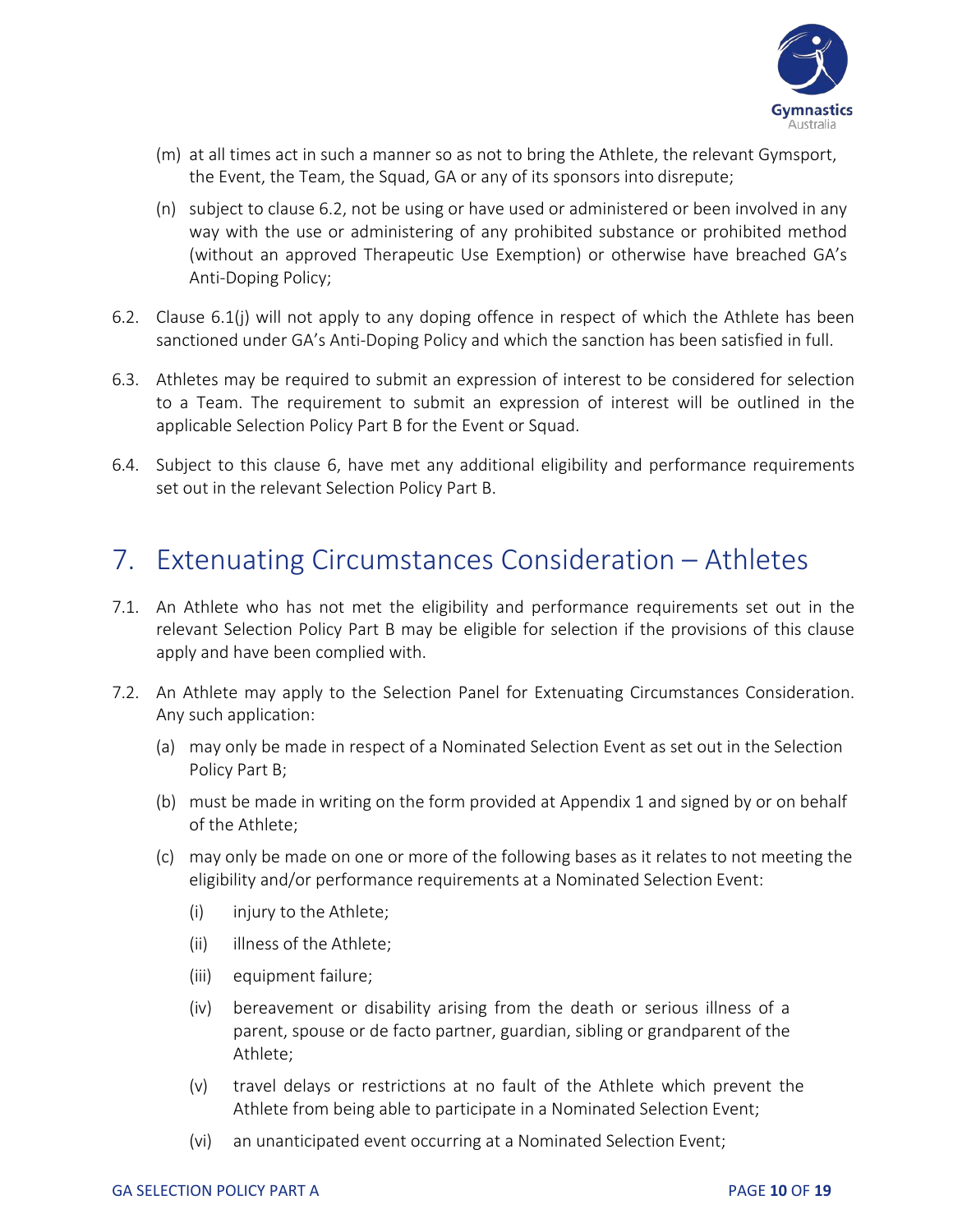

- (m) at all times act in such a manner so as not to bring the Athlete, the relevant Gymsport, the Event, the Team, the Squad, GA or any of its sponsors into disrepute;
- <span id="page-10-4"></span>(n) subject to clause [6.2,](#page-10-3) not be using or have used or administered or been involved in any way with the use or administering of any prohibited substance or prohibited method (without an approved Therapeutic Use Exemption) or otherwise have breached GA's Anti-Doping Policy;
- <span id="page-10-3"></span>6.2. Clause [6.1](#page-8-3)[\(j\) w](#page-10-4)ill not apply to any doping offence in respect of which the Athlete has been sanctioned under GA's Anti-Doping Policy and which the sanction has been satisfied in full.
- 6.3. Athletes may be required to submit an expression of interest to be considered for selection to a Team. The requirement to submit an expression of interest will be outlined in the applicable Selection Policy Part B for the Event or Squad.
- 6.4. Subject to this clause [6,](#page-8-1) have met any additional eligibility and performance requirements set out in the relevant Selection Policy Part B.

# <span id="page-10-0"></span>7. Extenuating Circumstances Consideration – Athletes

- 7.1. An Athlete who has not met the eligibility and performance requirements set out in the relevant Selection Policy Part B may be eligible for selection if the provisions of this clause apply and have been complied with.
- <span id="page-10-2"></span><span id="page-10-1"></span>7.2. An Athlete may apply to the Selection Panel for Extenuating Circumstances Consideration. Any such application:
	- (a) may only be made in respect of a Nominated Selection Event as set out in the Selection Policy Part B;
	- (b) must be made in writing on the form provided at Appendix 1 and signed by or on behalf of the Athlete;
	- (c) may only be made on one or more of the following bases as it relates to not meeting the eligibility and/or performance requirements at a Nominated Selection Event:
		- (i) injury to the Athlete;
		- (ii) illness of the Athlete;
		- (iii) equipment failure;
		- (iv) bereavement or disability arising from the death or serious illness of a parent, spouse or de facto partner, guardian, sibling or grandparent of the Athlete;
		- (v) travel delays or restrictions at no fault of the Athlete which prevent the Athlete from being able to participate in a Nominated Selection Event;
		- (vi) an unanticipated event occurring at a Nominated Selection Event;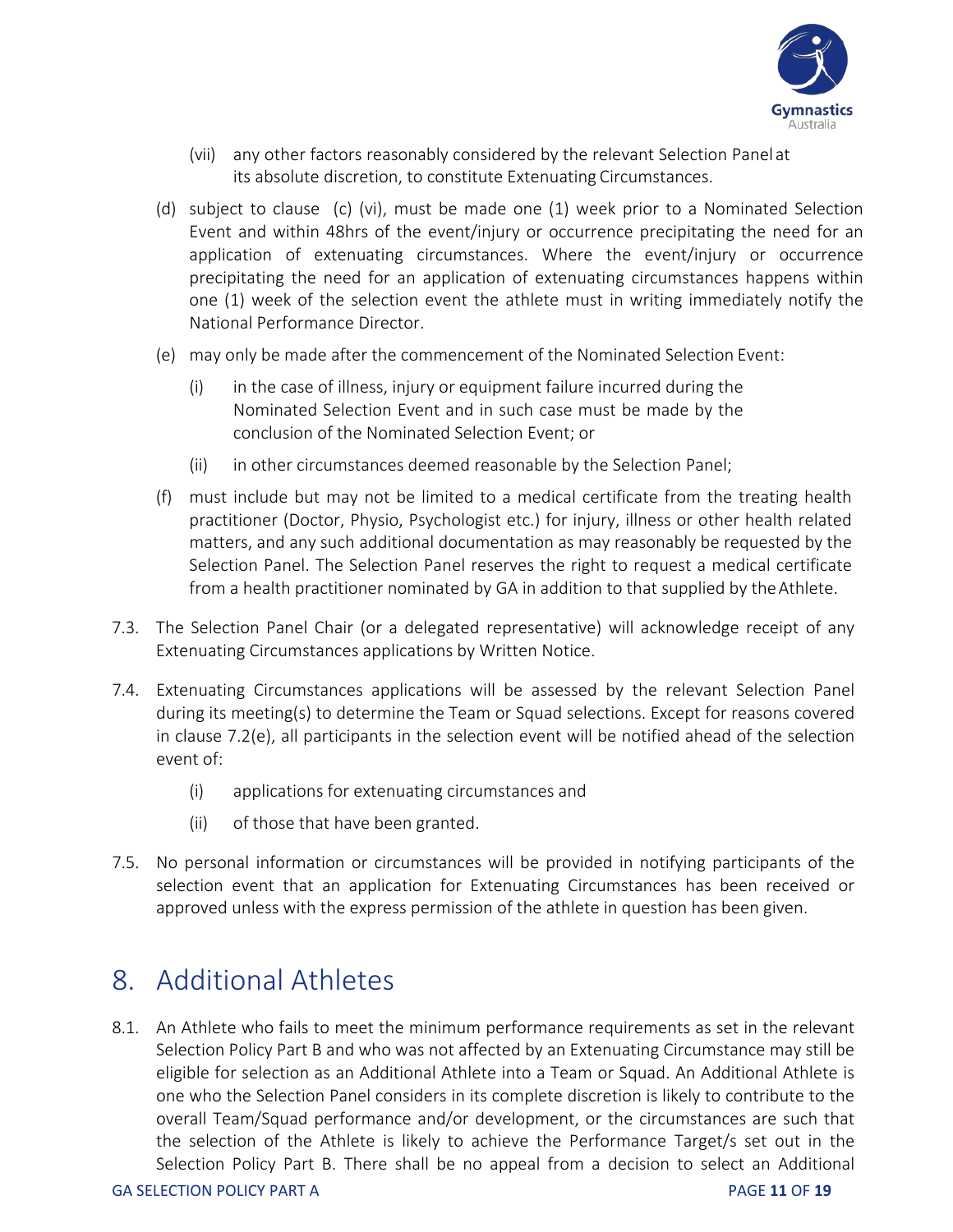

- (vii) any other factors reasonably considered by the relevant Selection Panel at its absolute discretion, to constitute Extenuating Circumstances.
- (d) subject to clause (c) (vi), must be made one (1) week prior to a Nominated Selection Event and within 48hrs of the event/injury or occurrence precipitating the need for an application of extenuating circumstances. Where the event/injury or occurrence precipitating the need for an application of extenuating circumstances happens within one (1) week of the selection event the athlete must in writing immediately notify the National Performance Director.
- (e) may only be made after the commencement of the Nominated Selection Event:
	- (i) in the case of illness, injury or equipment failure incurred during the Nominated Selection Event and in such case must be made by the conclusion of the Nominated Selection Event; or
	- (ii) in other circumstances deemed reasonable by the Selection Panel;
- (f) must include but may not be limited to a medical certificate from the treating health practitioner (Doctor, Physio, Psychologist etc.) for injury, illness or other health related matters, and any such additional documentation as may reasonably be requested by the Selection Panel. The Selection Panel reserves the right to request a medical certificate from a health practitioner nominated by GA in addition to that supplied by theAthlete.
- 7.3. The Selection Panel Chair (or a delegated representative) will acknowledge receipt of any Extenuating Circumstances applications by Written Notice.
- 7.4. Extenuating Circumstances applications will be assessed by the relevant Selection Panel during its meeting(s) to determine the Team or Squad selections. Except for reasons covered in clause 7.2(e), all participants in the selection event will be notified ahead of the selection event of:
	- (i) applications for extenuating circumstances and
	- (ii) of those that have been granted.
- 7.5. No personal information or circumstances will be provided in notifying participants of the selection event that an application for Extenuating Circumstances has been received or approved unless with the express permission of the athlete in question has been given.

#### <span id="page-11-0"></span>8. Additional Athletes

8.1. An Athlete who fails to meet the minimum performance requirements as set in the relevant Selection Policy Part B and who was not affected by an Extenuating Circumstance may still be eligible for selection as an Additional Athlete into a Team or Squad. An Additional Athlete is one who the Selection Panel considers in its complete discretion is likely to contribute to the overall Team/Squad performance and/or development, or the circumstances are such that the selection of the Athlete is likely to achieve the Performance Target/s set out in the Selection Policy Part B. There shall be no appeal from a decision to select an Additional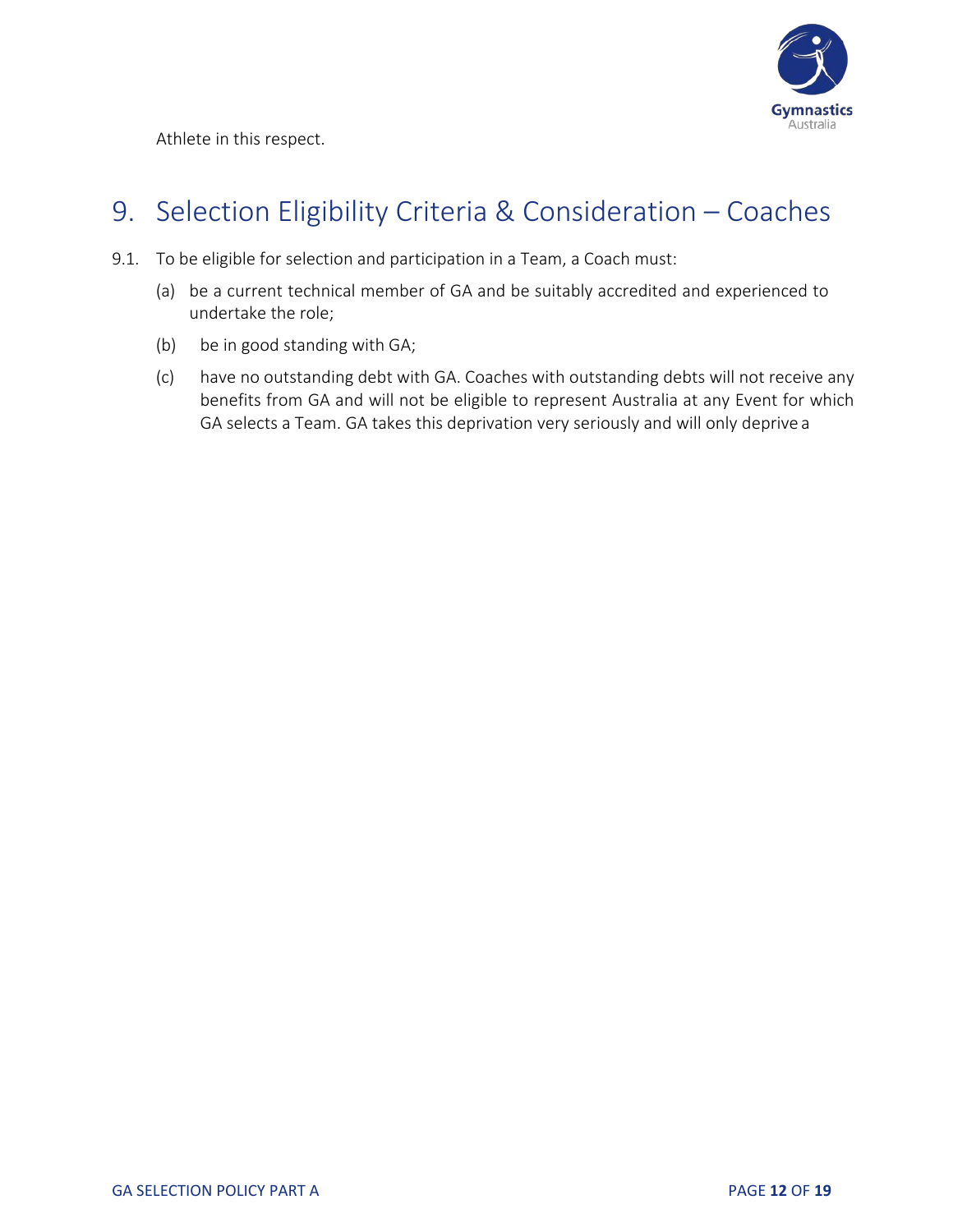

Athlete in this respect.

# <span id="page-12-0"></span>9. Selection Eligibility Criteria & Consideration – Coaches

- 9.1. To be eligible for selection and participation in a Team, a Coach must:
	- (a) be a current technical member of GA and be suitably accredited and experienced to undertake the role;
	- (b) be in good standing with GA;
	- (c) have no outstanding debt with GA. Coaches with outstanding debts will not receive any benefits from GA and will not be eligible to represent Australia at any Event for which GA selects a Team. GA takes this deprivation very seriously and will only deprive a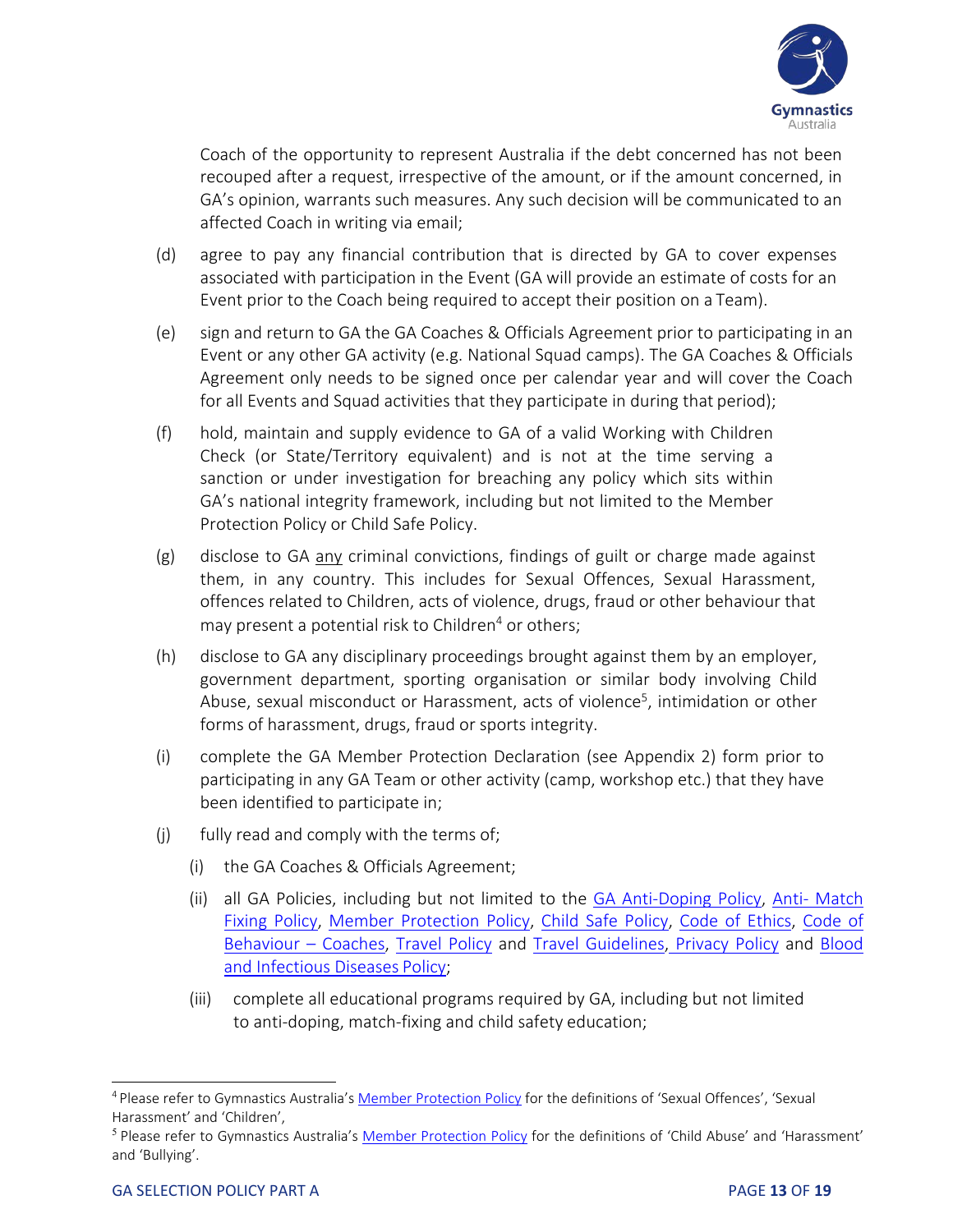

Coach of the opportunity to represent Australia if the debt concerned has not been recouped after a request, irrespective of the amount, or if the amount concerned, in GA's opinion, warrants such measures. Any such decision will be communicated to an affected Coach in writing via email;

- (d) agree to pay any financial contribution that is directed by GA to cover expenses associated with participation in the Event (GA will provide an estimate of costs for an Event prior to the Coach being required to accept their position on a Team).
- (e) sign and return to GA the GA Coaches & Officials Agreement prior to participating in an Event or any other GA activity (e.g. National Squad camps). The GA Coaches & Officials Agreement only needs to be signed once per calendar year and will cover the Coach for all Events and Squad activities that they participate in during that period);
- (f) hold, maintain and supply evidence to GA of a valid Working with Children Check (or State/Territory equivalent) and is not at the time serving a sanction or under investigation for breaching any policy which sits within GA's national integrity framework, including but not limited to the Member Protection Policy or Child Safe Policy.
- (g) disclose to GA any criminal convictions, findings of guilt or charge made against them, in any country. This includes for Sexual Offences, Sexual Harassment, offences related to Children, acts of violence, drugs, fraud or other behaviour that may present a potential risk to Children<sup>4</sup> or others;
- (h) disclose to GA any disciplinary proceedings brought against them by an employer, government department, sporting organisation or similar body involving Child Abuse, sexual misconduct or Harassment, acts of violence<sup>5</sup>, intimidation or other forms of harassment, drugs, fraud or sports integrity.
- (i) complete the GA Member Protection Declaration (see Appendix 2) form prior to participating in any GA Team or other activity (camp, workshop etc.) that they have been identified to participate in;
- $(i)$  fully read and comply with the terms of;
	- (i) the GA Coaches & Officials Agreement;
	- (ii) all GA Policies, including but not limited to the [GA Anti-Doping Policy,](https://www.gymnastics.org.au/uploadedfiles/Anti_doping_policy.pdf) [Anti-](https://www.gymnastics.org.au/images/national/About_Us/By_laws_Policies_Tech_Regs/Anti-Match-fixing_policy.pdf) [Match](https://www.gymnastics.org.au/images/national/About_Us/By_laws_Policies_Tech_Regs/Anti-Match-fixing_policy.pdf)  [Fixing Policy,](https://www.gymnastics.org.au/images/national/About_Us/By_laws_Policies_Tech_Regs/Anti-Match-fixing_policy.pdf) [Member Protection Policy,](https://www.gymnastics.org.au/images/national/About_Us/By_laws_Policies_Tech_Regs/Member_Protection_Policy.pdf) [Child Safe Policy,](https://www.gymnastics.org.au/images/national/About_Us/By_laws_Policies_Tech_Regs/Child_Safe_Policy.pdf) [Code of](https://www.gymnastics.org.au/images/national/About_Us/By_laws_Policies_Tech_Regs/Member_Protection_Policy_0219.pdf#page%3D27) [Ethics,](https://www.gymnastics.org.au/images/national/About_Us/By_laws_Policies_Tech_Regs/Member_Protection_Policy_0219.pdf#page%3D27) [Code of](https://www.gymnastics.org.au/images/national/About_Us/By_laws_Policies_Tech_Regs/Member_Protection_Policy_0219.pdf#page%3D29)  [Behaviour –](https://www.gymnastics.org.au/images/national/About_Us/By_laws_Policies_Tech_Regs/Member_Protection_Policy_0219.pdf#page%3D29) Coaches, [Travel Policy](https://www.gymnastics.org.au/uploadedfiles/travel_policy.pdf) and [Travel Guidelines,](https://www.gymnastics.org.au/GA/About_Us/By-laws__Policies___Technical_Regulations/Ga/About/By-laws__Policies___Technical_Regulations.aspx?hkey=08379530-4144-406e-ba6f-914e3e53d934) [Privacy Policy](https://www.gymnastics.org.au/images/national/About_Us/By_laws_Policies_Tech_Regs/Privacy_Policy.pdf) and [Blood](https://www.gymnastics.org.au/GA/About_Us/By-laws__Policies___Technical_Regulations/Ga/About/By-laws__Policies___Technical_Regulations.aspx?hkey=08379530-4144-406e-ba6f-914e3e53d934)  [and Infectious Diseases](https://www.gymnastics.org.au/GA/About_Us/By-laws__Policies___Technical_Regulations/Ga/About/By-laws__Policies___Technical_Regulations.aspx?hkey=08379530-4144-406e-ba6f-914e3e53d934) Policy;
	- (iii) complete all educational programs required by GA, including but not limited to anti-doping, match-fixing and child safety education;

<span id="page-13-0"></span><sup>&</sup>lt;sup>4</sup> Please refer to Gymnastics Australia's [Member Protection Policy](https://www.gymnastics.org.au/images/national/About_Us/By_laws_Policies_Tech_Regs/Member_Protection_Policy.pdf) for the definitions of 'Sexual Offences', 'Sexual Harassment' and 'Children',

<span id="page-13-1"></span><sup>&</sup>lt;sup>5</sup> Please refer to Gymnastics Australia's [Member Protection Policy](https://www.gymnastics.org.au/images/national/About_Us/By_laws_Policies_Tech_Regs/Member_Protection_Policy.pdf) for the definitions of 'Child Abuse' and 'Harassment' and 'Bullying'.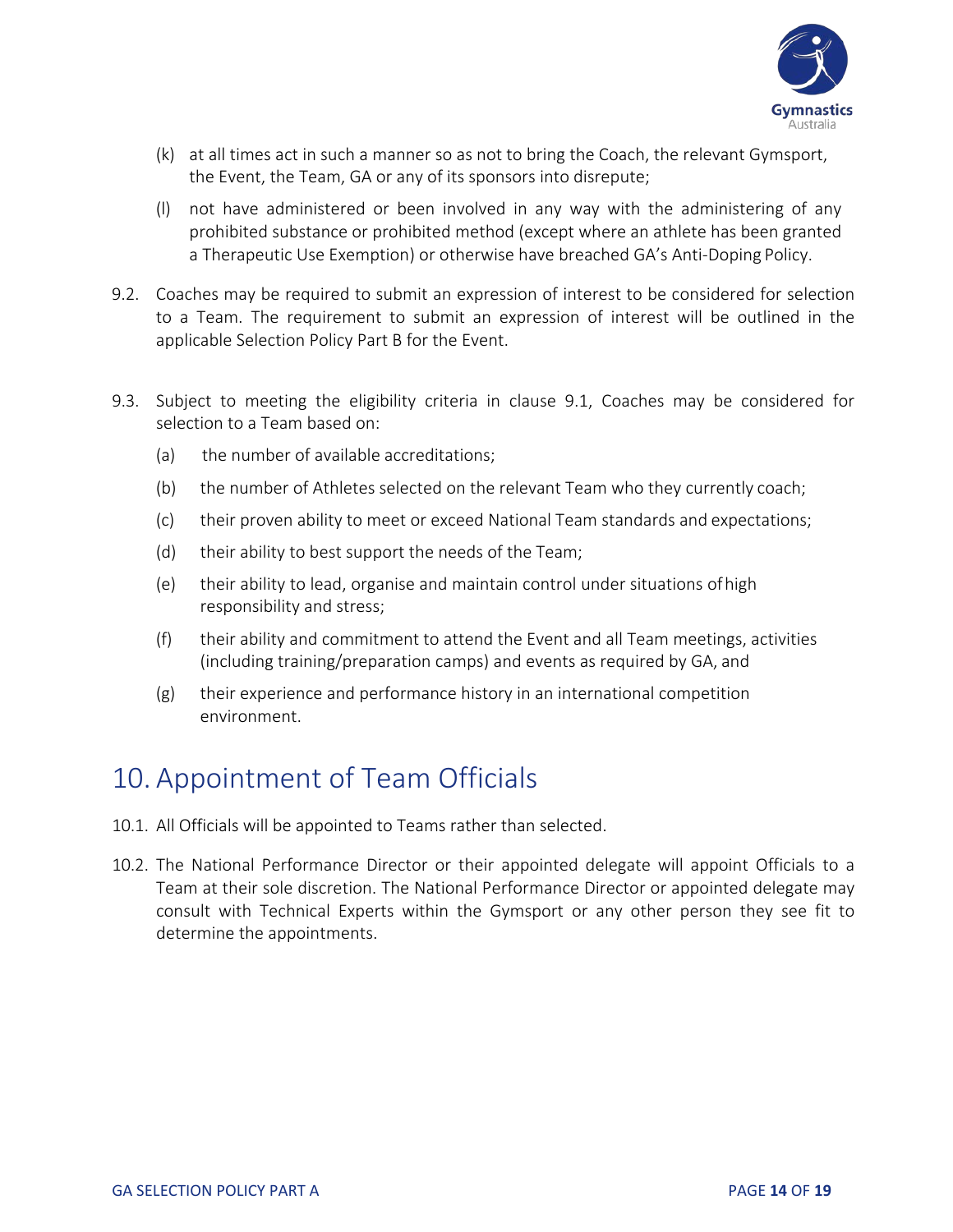

- (k) at all times act in such a manner so as not to bring the Coach, the relevant Gymsport, the Event, the Team, GA or any of its sponsors into disrepute;
- (l) not have administered or been involved in any way with the administering of any prohibited substance or prohibited method (except where an athlete has been granted a Therapeutic Use Exemption) or otherwise have breached GA's Anti-Doping Policy.
- 9.2. Coaches may be required to submit an expression of interest to be considered for selection to a Team. The requirement to submit an expression of interest will be outlined in the applicable Selection Policy Part B for the Event.
- 9.3. Subject to meeting the eligibility criteria in clause 9.1, Coaches may be considered for selection to a Team based on:
	- (a) the number of available accreditations;
	- (b) the number of Athletes selected on the relevant Team who they currently coach;
	- (c) their proven ability to meet or exceed National Team standards and expectations;
	- (d) their ability to best support the needs of the Team;
	- (e) their ability to lead, organise and maintain control under situations ofhigh responsibility and stress;
	- (f) their ability and commitment to attend the Event and all Team meetings, activities (including training/preparation camps) and events as required by GA, and
	- (g) their experience and performance history in an international competition environment.

# <span id="page-14-0"></span>10. Appointment of Team Officials

- 10.1. All Officials will be appointed to Teams rather than selected.
- 10.2. The National Performance Director or their appointed delegate will appoint Officials to a Team at their sole discretion. The National Performance Director or appointed delegate may consult with Technical Experts within the Gymsport or any other person they see fit to determine the appointments.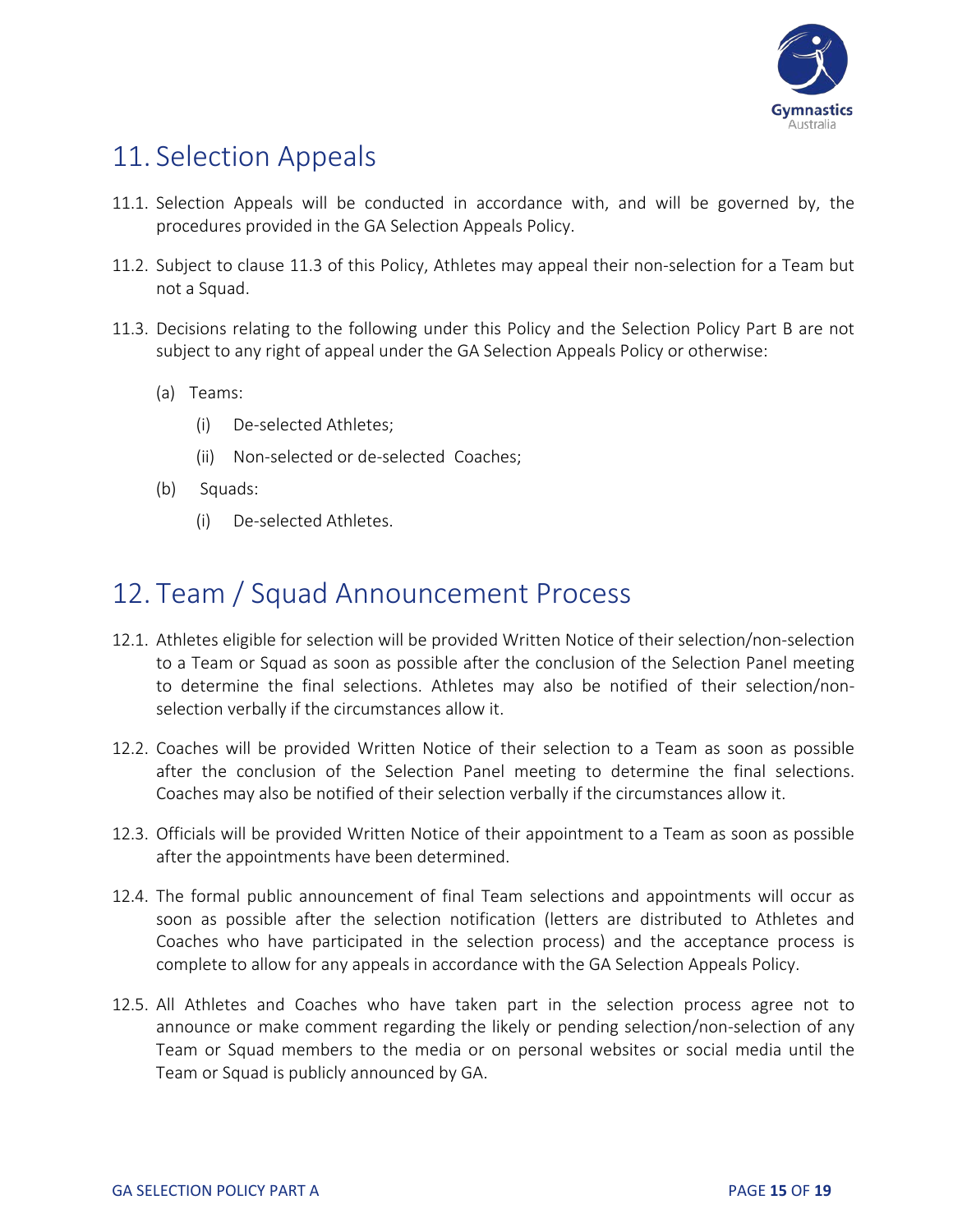

# 11. Selection Appeals

- 11.1. Selection Appeals will be conducted in accordance with, and will be governed by, the procedures provided in the GA [Selection Appeals Policy.](https://www.gymnastics.org.au/uploadedfiles/GA_Selection_Appeals_Policy.pdf)
- 11.2. Subject to clause [11.3 o](#page-15-1)f this Policy, Athletes may appeal their non-selection for a Team but not a Squad.
- <span id="page-15-1"></span>11.3. Decisions relating to the following under this Policy and the Selection Policy Part B are not subject to any right of appeal under the GA [Selection Appeals Policy o](https://www.gymnastics.org.au/uploadedfiles/GA_Selection_Appeals_Policy.pdf)r otherwise:
	- (a) Teams:
		- (i) De-selected Athletes;
		- (ii) Non-selected or de-selected Coaches;
	- (b) Squads:
		- (i) De-selected Athletes.

#### <span id="page-15-0"></span>12. Team / Squad Announcement Process

- 12.1. Athletes eligible for selection will be provided Written Notice of their selection/non-selection to a Team or Squad as soon as possible after the conclusion of the Selection Panel meeting to determine the final selections. Athletes may also be notified of their selection/nonselection verbally if the circumstances allow it.
- 12.2. Coaches will be provided Written Notice of their selection to a Team as soon as possible after the conclusion of the Selection Panel meeting to determine the final selections. Coaches may also be notified of their selection verbally if the circumstances allow it.
- 12.3. Officials will be provided Written Notice of their appointment to a Team as soon as possible after the appointments have been determined.
- 12.4. The formal public announcement of final Team selections and appointments will occur as soon as possible after the selection notification (letters are distributed to Athletes and Coaches who have participated in the selection process) and the acceptance process is complete to allow for any appeals in accordance with the GA [Selection Appeals Policy.](https://www.gymnastics.org.au/uploadedfiles/GA_Selection_Appeals_Policy.pdf)
- 12.5. All Athletes and Coaches who have taken part in the selection process agree not to announce or make comment regarding the likely or pending selection/non-selection of any Team or Squad members to the media or on personal websites or social media until the Team or Squad is publicly announced by GA.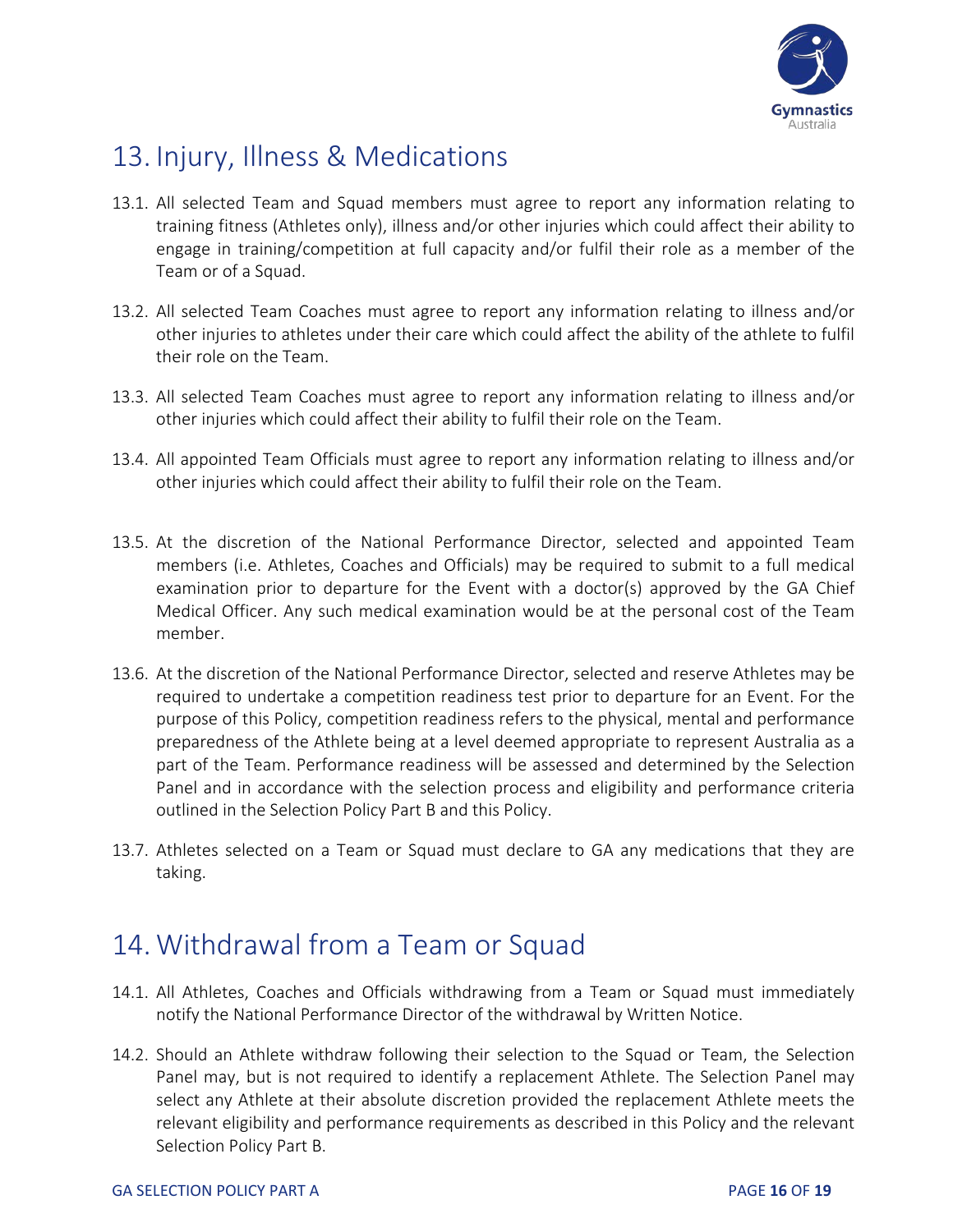

# <span id="page-16-0"></span>13. Injury, Illness & Medications

- 13.1. All selected Team and Squad members must agree to report any information relating to training fitness (Athletes only), illness and/or other injuries which could affect their ability to engage in training/competition at full capacity and/or fulfil their role as a member of the Team or of a Squad.
- 13.2. All selected Team Coaches must agree to report any information relating to illness and/or other injuries to athletes under their care which could affect the ability of the athlete to fulfil their role on the Team.
- 13.3. All selected Team Coaches must agree to report any information relating to illness and/or other injuries which could affect their ability to fulfil their role on the Team.
- 13.4. All appointed Team Officials must agree to report any information relating to illness and/or other injuries which could affect their ability to fulfil their role on the Team.
- 13.5. At the discretion of the National Performance Director, selected and appointed Team members (i.e. Athletes, Coaches and Officials) may be required to submit to a full medical examination prior to departure for the Event with a doctor(s) approved by the GA Chief Medical Officer. Any such medical examination would be at the personal cost of the Team member.
- 13.6. At the discretion of the National Performance Director, selected and reserve Athletes may be required to undertake a competition readiness test prior to departure for an Event. For the purpose of this Policy, competition readiness refers to the physical, mental and performance preparedness of the Athlete being at a level deemed appropriate to represent Australia as a part of the Team. Performance readiness will be assessed and determined by the Selection Panel and in accordance with the selection process and eligibility and performance criteria outlined in the Selection Policy Part B and this Policy.
- 13.7. Athletes selected on a Team or Squad must declare to GA any medications that they are taking.

## <span id="page-16-1"></span>14. Withdrawal from a Team or Squad

- 14.1. All Athletes, Coaches and Officials withdrawing from a Team or Squad must immediately notify the National Performance Director of the withdrawal by Written Notice.
- 14.2. Should an Athlete withdraw following their selection to the Squad or Team, the Selection Panel may, but is not required to identify a replacement Athlete. The Selection Panel may select any Athlete at their absolute discretion provided the replacement Athlete meets the relevant eligibility and performance requirements as described in this Policy and the relevant Selection Policy Part B.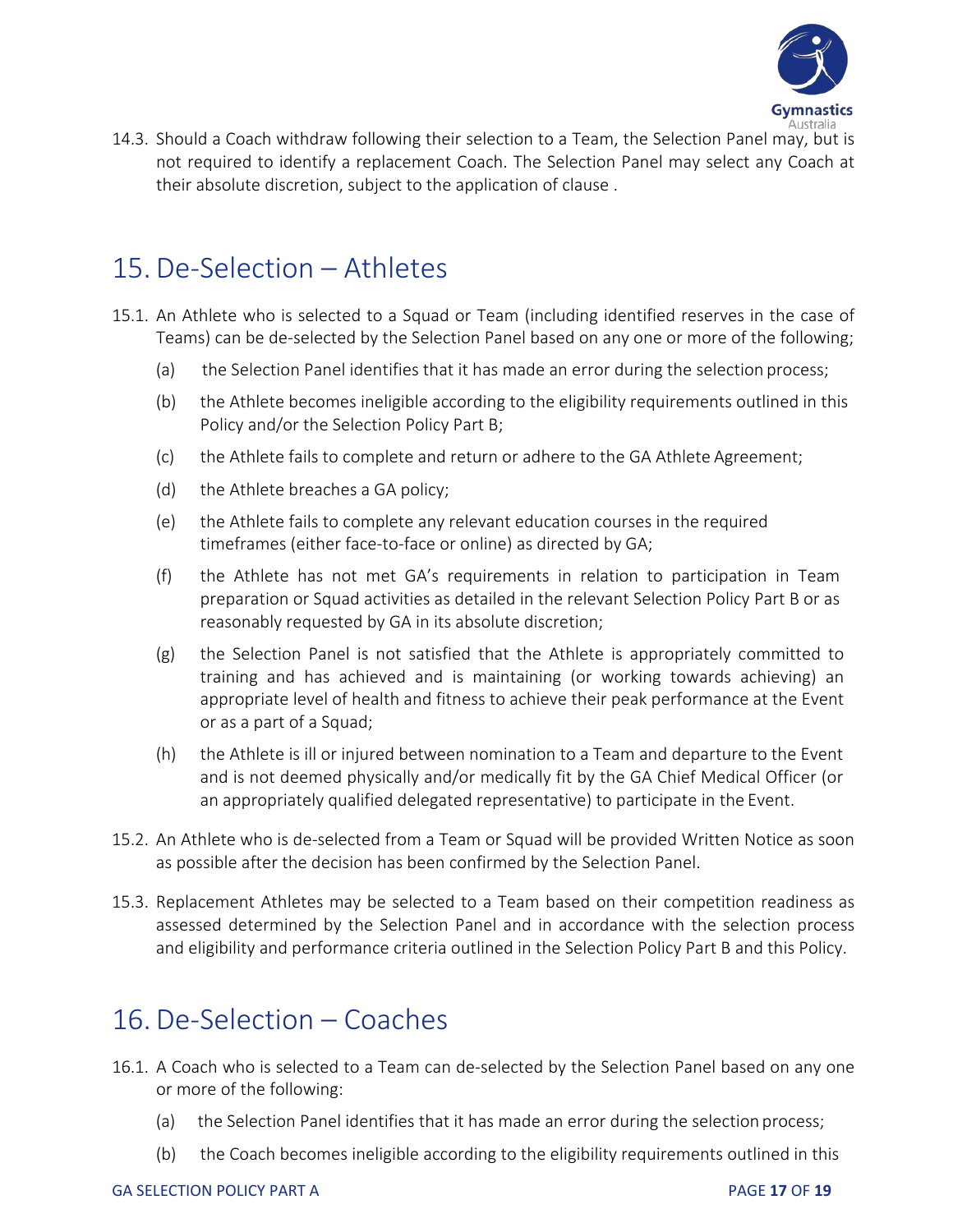

14.3. Should a Coach withdraw following their selection to a Team, the Selection Panel may, but is not required to identify a replacement Coach. The Selection Panel may select any Coach at their absolute discretion, subject to the application of clause .

#### <span id="page-17-0"></span>15. De-Selection – Athletes

- 15.1. An Athlete who is selected to a Squad or Team (including identified reserves in the case of Teams) can be de-selected by the Selection Panel based on any one or more of the following;
	- (a) the Selection Panel identifies that it has made an error during the selection process;
	- (b) the Athlete becomes ineligible according to the eligibility requirements outlined in this Policy and/or the Selection Policy Part B;
	- (c) the Athlete fails to complete and return or adhere to the GA Athlete Agreement;
	- (d) the Athlete breaches a GA policy;
	- (e) the Athlete fails to complete any relevant education courses in the required timeframes (either face-to-face or online) as directed by GA;
	- (f) the Athlete has not met GA's requirements in relation to participation in Team preparation or Squad activities as detailed in the relevant Selection Policy Part B or as reasonably requested by GA in its absolute discretion;
	- (g) the Selection Panel is not satisfied that the Athlete is appropriately committed to training and has achieved and is maintaining (or working towards achieving) an appropriate level of health and fitness to achieve their peak performance at the Event or as a part of a Squad;
	- (h) the Athlete is ill or injured between nomination to a Team and departure to the Event and is not deemed physically and/or medically fit by the GA Chief Medical Officer (or an appropriately qualified delegated representative) to participate in the Event.
- 15.2. An Athlete who is de-selected from a Team or Squad will be provided Written Notice as soon as possible after the decision has been confirmed by the Selection Panel.
- 15.3. Replacement Athletes may be selected to a Team based on their competition readiness as assessed determined by the Selection Panel and in accordance with the selection process and eligibility and performance criteria outlined in the Selection Policy Part B and this Policy.

#### <span id="page-17-1"></span>16. De-Selection – Coaches

- 16.1. A Coach who is selected to a Team can de-selected by the Selection Panel based on any one or more of the following:
	- (a) the Selection Panel identifies that it has made an error during the selection process;
	- (b) the Coach becomes ineligible according to the eligibility requirements outlined in this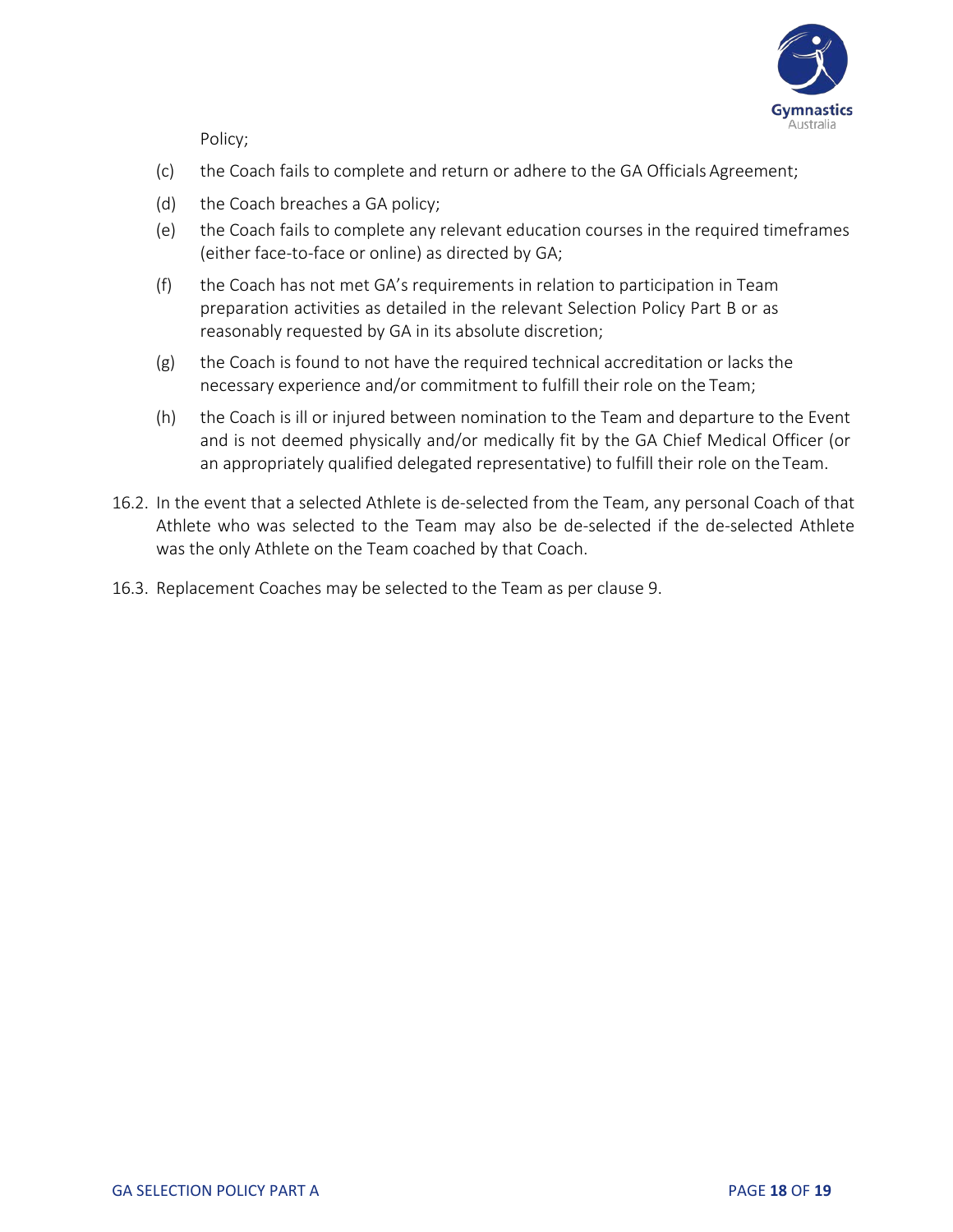

Policy;

- (c) the Coach fails to complete and return or adhere to the GA Officials Agreement;
- (d) the Coach breaches a GA policy;
- (e) the Coach fails to complete any relevant education courses in the required timeframes (either face-to-face or online) as directed by GA;
- (f) the Coach has not met GA's requirements in relation to participation in Team preparation activities as detailed in the relevant Selection Policy Part B or as reasonably requested by GA in its absolute discretion;
- $(g)$  the Coach is found to not have the required technical accreditation or lacks the necessary experience and/or commitment to fulfill their role on the Team;
- (h) the Coach is ill or injured between nomination to the Team and departure to the Event and is not deemed physically and/or medically fit by the GA Chief Medical Officer (or an appropriately qualified delegated representative) to fulfill their role on theTeam.
- 16.2. In the event that a selected Athlete is de-selected from the Team, any personal Coach of that Athlete who was selected to the Team may also be de-selected if the de-selected Athlete was the only Athlete on the Team coached by that Coach.
- 16.3. Replacement Coaches may be selected to the Team as per clause 9.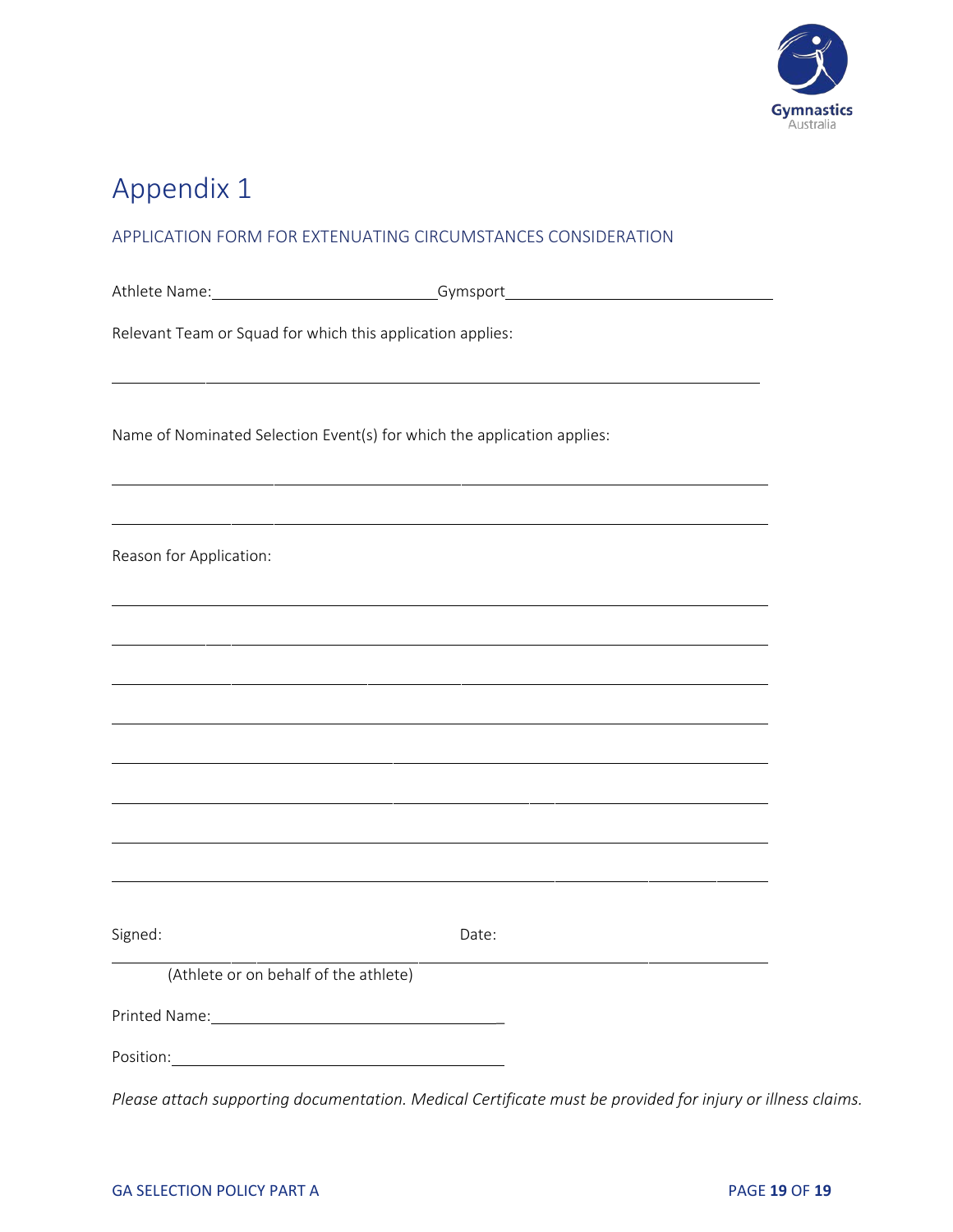

# <span id="page-19-0"></span>Appendix 1

#### <span id="page-19-1"></span>APPLICATION FORM FOR EXTENUATING CIRCUMSTANCES CONSIDERATION

| Athlete Name: ________________________________Gymsport__________________________                                                                                                                                              |       |  |  |  |
|-------------------------------------------------------------------------------------------------------------------------------------------------------------------------------------------------------------------------------|-------|--|--|--|
| Relevant Team or Squad for which this application applies:                                                                                                                                                                    |       |  |  |  |
| Name of Nominated Selection Event(s) for which the application applies:                                                                                                                                                       |       |  |  |  |
| Reason for Application:                                                                                                                                                                                                       |       |  |  |  |
|                                                                                                                                                                                                                               |       |  |  |  |
|                                                                                                                                                                                                                               |       |  |  |  |
|                                                                                                                                                                                                                               |       |  |  |  |
| Signed:                                                                                                                                                                                                                       | Date: |  |  |  |
| (Athlete or on behalf of the athlete)                                                                                                                                                                                         |       |  |  |  |
| Printed Name: Name and Second Contract of the Contract of the Contract of the Contract of the Contract of the Contract of the Contract of the Contract of the Contract of the Contract of the Contract of the Contract of the |       |  |  |  |
|                                                                                                                                                                                                                               |       |  |  |  |

<span id="page-19-2"></span>*Please attach supporting documentation. Medical Certificate must be provided for injury or illness claims.*